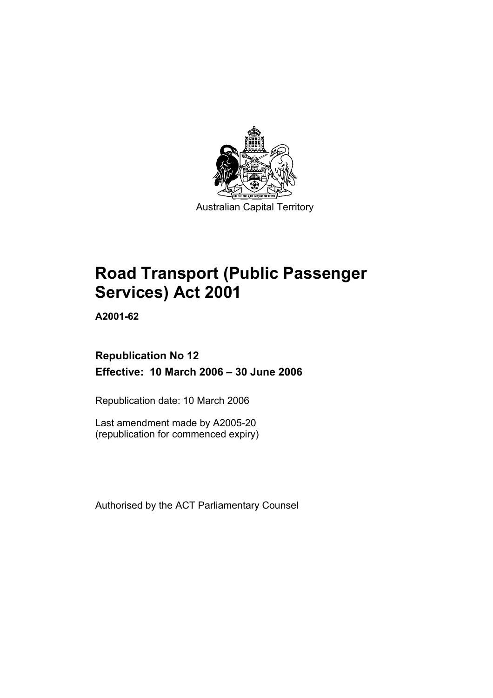

Australian Capital Territory

# **Road Transport (Public Passenger Services) Act 2001**

**A2001-62** 

# **Republication No 12 Effective: 10 March 2006 – 30 June 2006**

Republication date: 10 March 2006

Last amendment made by A2005-20 (republication for commenced expiry)

Authorised by the ACT Parliamentary Counsel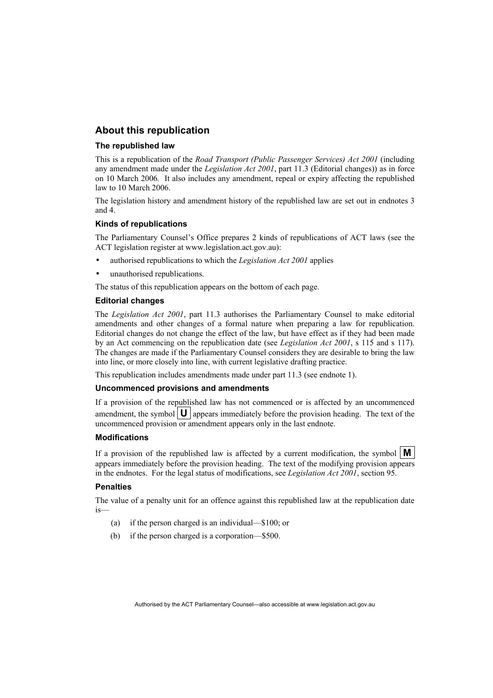#### **About this republication**

#### **The republished law**

This is a republication of the *Road Transport (Public Passenger Services) Act 2001* (including any amendment made under the *Legislation Act 2001*, part 11.3 (Editorial changes)) as in force on 10 March 2006*.* It also includes any amendment, repeal or expiry affecting the republished law to 10 March 2006.

The legislation history and amendment history of the republished law are set out in endnotes 3 and 4.

#### **Kinds of republications**

The Parliamentary Counsel's Office prepares 2 kinds of republications of ACT laws (see the ACT legislation register at www.legislation.act.gov.au):

- authorised republications to which the *Legislation Act 2001* applies
- unauthorised republications.

The status of this republication appears on the bottom of each page.

#### **Editorial changes**

The *Legislation Act 2001*, part 11.3 authorises the Parliamentary Counsel to make editorial amendments and other changes of a formal nature when preparing a law for republication. Editorial changes do not change the effect of the law, but have effect as if they had been made by an Act commencing on the republication date (see *Legislation Act 2001*, s 115 and s 117). The changes are made if the Parliamentary Counsel considers they are desirable to bring the law into line, or more closely into line, with current legislative drafting practice.

This republication includes amendments made under part 11.3 (see endnote 1).

#### **Uncommenced provisions and amendments**

If a provision of the republished law has not commenced or is affected by an uncommenced amendment, the symbol  $\mathbf{U}$  appears immediately before the provision heading. The text of the uncommenced provision or amendment appears only in the last endnote.

#### **Modifications**

If a provision of the republished law is affected by a current modification, the symbol  $\mathbf{M}$ appears immediately before the provision heading. The text of the modifying provision appears in the endnotes. For the legal status of modifications, see *Legislation Act 2001*, section 95.

#### **Penalties**

The value of a penalty unit for an offence against this republished law at the republication date is—

- (a) if the person charged is an individual—\$100; or
- (b) if the person charged is a corporation—\$500.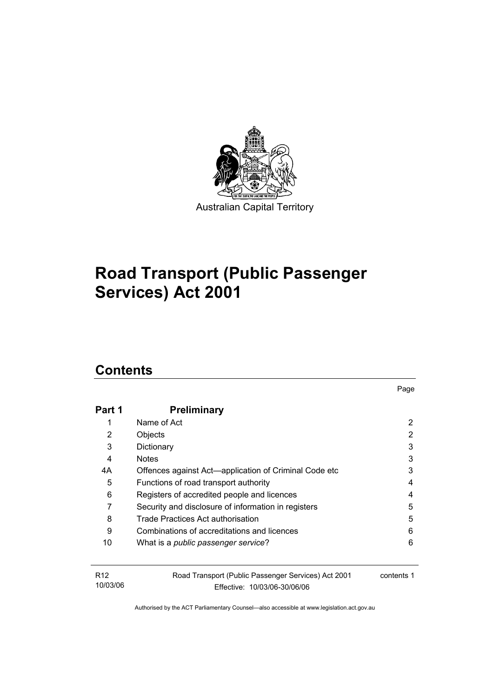

# **Road Transport (Public Passenger Services) Act 2001**

# **Contents**

| Part 1                      | <b>Preliminary</b>                                                                  |            |
|-----------------------------|-------------------------------------------------------------------------------------|------------|
|                             | Name of Act                                                                         | 2          |
| 2                           | Objects                                                                             | 2          |
| 3                           | Dictionary                                                                          | 3          |
| 4                           | <b>Notes</b>                                                                        | 3          |
| 4А                          | Offences against Act-application of Criminal Code etc                               | 3          |
| 5                           | Functions of road transport authority                                               | 4          |
| 6                           | Registers of accredited people and licences                                         | 4          |
| 7                           | Security and disclosure of information in registers                                 | 5          |
| 8                           | Trade Practices Act authorisation                                                   | 5          |
| 9                           | Combinations of accreditations and licences                                         | 6          |
| 10                          | What is a <i>public passenger service</i> ?                                         | 6          |
| R <sub>12</sub><br>10/03/06 | Road Transport (Public Passenger Services) Act 2001<br>Fffective: 10/03/06-30/06/06 | contents 1 |

Page

Effective: 10/03/06-30/06/06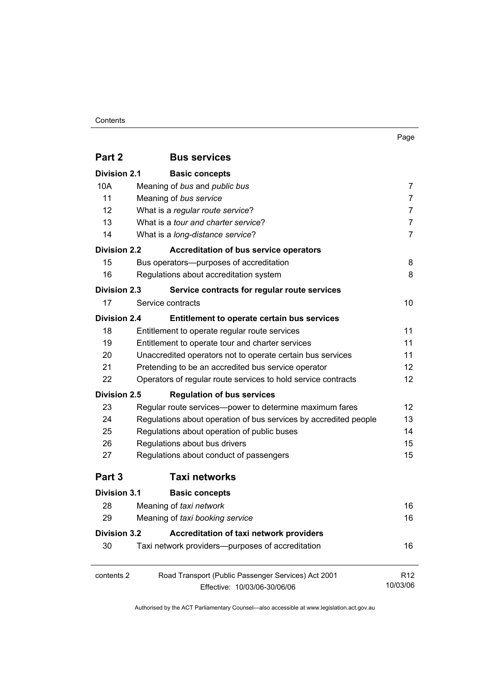#### **Contents**

| . .<br>×<br>٧<br>× |
|--------------------|
|--------------------|

| Part 2              | <b>Bus services</b>                                              |                 |
|---------------------|------------------------------------------------------------------|-----------------|
| <b>Division 2.1</b> | <b>Basic concepts</b>                                            |                 |
| 10A                 | Meaning of bus and public bus                                    | 7               |
| 11                  | Meaning of bus service                                           | $\overline{7}$  |
| 12                  | What is a regular route service?                                 | $\overline{7}$  |
| 13                  | What is a tour and charter service?                              | $\overline{7}$  |
| 14                  | What is a long-distance service?                                 | $\overline{7}$  |
| <b>Division 2.2</b> | <b>Accreditation of bus service operators</b>                    |                 |
| 15                  | Bus operators---purposes of accreditation                        | 8               |
| 16                  | Regulations about accreditation system                           | 8               |
| <b>Division 2.3</b> | Service contracts for regular route services                     |                 |
| 17                  | Service contracts                                                | 10              |
| Division 2.4        | Entitlement to operate certain bus services                      |                 |
| 18                  | Entitlement to operate regular route services                    | 11              |
| 19                  | Entitlement to operate tour and charter services                 | 11              |
| 20                  | Unaccredited operators not to operate certain bus services       | 11              |
| 21                  | Pretending to be an accredited bus service operator              | 12 <sup>2</sup> |
| 22                  | Operators of regular route services to hold service contracts    | 12              |
| <b>Division 2.5</b> | <b>Regulation of bus services</b>                                |                 |
| 23                  | Regular route services-power to determine maximum fares          | 12 <sup>2</sup> |
| 24                  | Regulations about operation of bus services by accredited people | 13              |
| 25                  | Regulations about operation of public buses                      | 14              |
| 26                  | Regulations about bus drivers                                    | 15              |
| 27                  | Regulations about conduct of passengers                          | 15              |
| Part 3              | <b>Taxi networks</b>                                             |                 |
| <b>Division 3.1</b> | <b>Basic concepts</b>                                            |                 |
| 28                  | Meaning of taxi network                                          | 16              |
| 29                  | Meaning of taxi booking service                                  | 16              |
| <b>Division 3.2</b> | Accreditation of taxi network providers                          |                 |
| 30                  | Taxi network providers--purposes of accreditation                | 16              |
| contents 2          | Road Transport (Public Passenger Services) Act 2001              | R <sub>12</sub> |
|                     | Effective: 10/03/06-30/06/06                                     | 10/03/06        |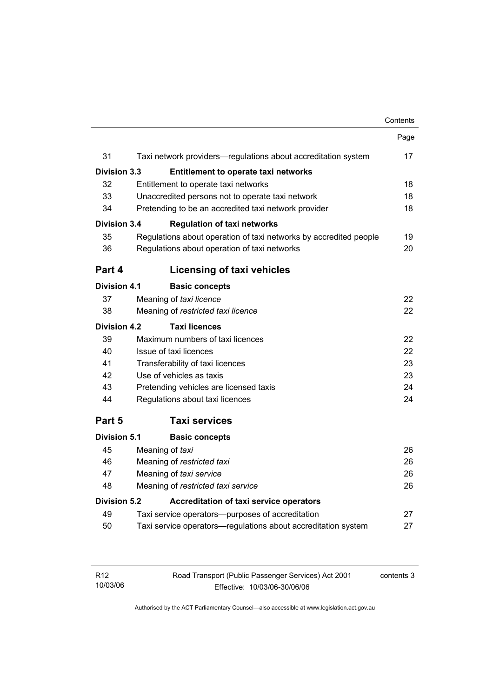#### Contents

|                     |                                                                   | Page |
|---------------------|-------------------------------------------------------------------|------|
| 31                  | Taxi network providers-regulations about accreditation system     | 17   |
| <b>Division 3.3</b> | <b>Entitlement to operate taxi networks</b>                       |      |
| 32                  | Entitlement to operate taxi networks                              | 18   |
| 33                  | Unaccredited persons not to operate taxi network                  | 18   |
| 34                  | Pretending to be an accredited taxi network provider              | 18   |
| <b>Division 3.4</b> | <b>Regulation of taxi networks</b>                                |      |
| 35                  | Regulations about operation of taxi networks by accredited people | 19   |
| 36                  | Regulations about operation of taxi networks                      | 20   |
| Part 4              | <b>Licensing of taxi vehicles</b>                                 |      |
| Division 4.1        | <b>Basic concepts</b>                                             |      |
| 37                  | Meaning of taxi licence                                           | 22   |
| 38                  | Meaning of restricted taxi licence                                | 22   |
| <b>Division 4.2</b> | <b>Taxi licences</b>                                              |      |
| 39                  | Maximum numbers of taxi licences                                  | 22   |
| 40                  | Issue of taxi licences                                            | 22   |
| 41                  | Transferability of taxi licences                                  | 23   |
| 42                  | Use of vehicles as taxis                                          | 23   |
| 43                  | Pretending vehicles are licensed taxis                            | 24   |
| 44                  | Regulations about taxi licences                                   | 24   |
| Part 5              | <b>Taxi services</b>                                              |      |
| Division 5.1        | <b>Basic concepts</b>                                             |      |
| 45                  | Meaning of taxi                                                   | 26   |
| 46                  | Meaning of restricted taxi                                        |      |
| 47                  | Meaning of taxi service                                           |      |
| 48                  | Meaning of restricted taxi service                                | 26   |
| Division 5.2        | <b>Accreditation of taxi service operators</b>                    |      |
| 49                  | Taxi service operators—purposes of accreditation                  | 27   |
| 50                  | Taxi service operators—regulations about accreditation system     | 27   |
|                     |                                                                   |      |

| R12      | Road Transport (Public Passenger Services) Act 2001 | contents 3 |
|----------|-----------------------------------------------------|------------|
| 10/03/06 | Effective: 10/03/06-30/06/06                        |            |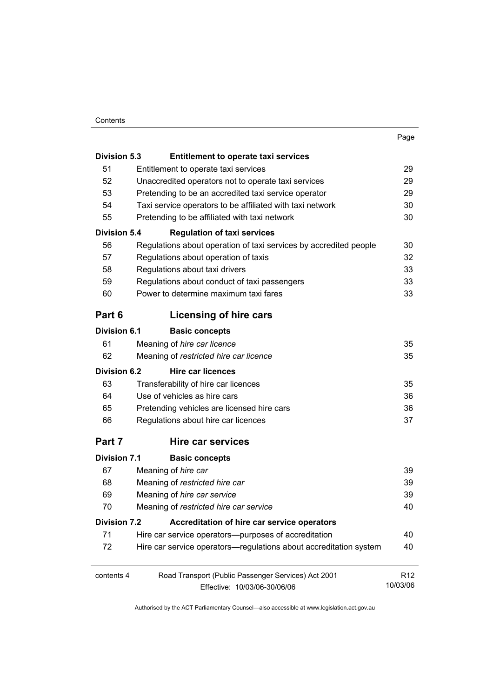#### **Contents**

| ۰.<br>×<br><br>× |
|------------------|
|------------------|

| <b>Division 5.3</b>                       | <b>Entitlement to operate taxi services</b>                       |                 |
|-------------------------------------------|-------------------------------------------------------------------|-----------------|
| 51                                        | Entitlement to operate taxi services                              | 29              |
| 52                                        | Unaccredited operators not to operate taxi services               |                 |
| 53                                        | Pretending to be an accredited taxi service operator              |                 |
| 54                                        | Taxi service operators to be affiliated with taxi network         | 30              |
| 55                                        | Pretending to be affiliated with taxi network                     | 30              |
| <b>Division 5.4</b>                       | <b>Regulation of taxi services</b>                                |                 |
| 56                                        | Regulations about operation of taxi services by accredited people | 30              |
| 57                                        | Regulations about operation of taxis                              | 32              |
| 58                                        | Regulations about taxi drivers                                    | 33              |
| 59                                        | Regulations about conduct of taxi passengers                      | 33              |
| 60                                        | Power to determine maximum taxi fares                             | 33              |
| Part 6                                    | Licensing of hire cars                                            |                 |
| <b>Division 6.1</b>                       | <b>Basic concepts</b>                                             |                 |
| 61                                        | Meaning of hire car licence                                       | 35              |
| 62                                        | Meaning of restricted hire car licence                            | 35              |
| <b>Division 6.2</b>                       | <b>Hire car licences</b>                                          |                 |
| 63                                        | Transferability of hire car licences                              | 35              |
| 64                                        | Use of vehicles as hire cars                                      | 36              |
| 65                                        | Pretending vehicles are licensed hire cars                        | 36              |
| 66<br>Regulations about hire car licences |                                                                   | 37              |
| Part 7                                    | Hire car services                                                 |                 |
| <b>Division 7.1</b>                       | <b>Basic concepts</b>                                             |                 |
| 67                                        | Meaning of hire car                                               | 39              |
| 68                                        | Meaning of restricted hire car                                    | 39              |
| 69                                        | Meaning of hire car service                                       |                 |
| 70                                        | Meaning of restricted hire car service                            | 40              |
| <b>Division 7.2</b>                       | Accreditation of hire car service operators                       |                 |
| 71                                        | Hire car service operators--purposes of accreditation             | 40              |
| 72                                        | Hire car service operators-regulations about accreditation system | 40              |
| contents 4                                | Road Transport (Public Passenger Services) Act 2001               | R <sub>12</sub> |
| 10/03/06<br>Effective: 10/03/06-30/06/06  |                                                                   |                 |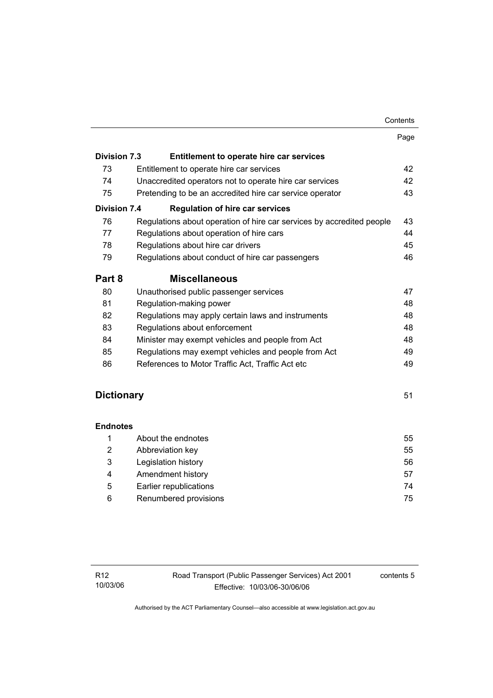| Contents |
|----------|
|----------|

|                     |                                                                       | Page |
|---------------------|-----------------------------------------------------------------------|------|
| <b>Division 7.3</b> | Entitlement to operate hire car services                              |      |
| 73                  | Entitlement to operate hire car services                              | 42   |
| 74                  | Unaccredited operators not to operate hire car services               | 42   |
| 75                  | Pretending to be an accredited hire car service operator              | 43   |
| <b>Division 7.4</b> | <b>Regulation of hire car services</b>                                |      |
| 76                  | Regulations about operation of hire car services by accredited people | 43   |
| 77                  | Regulations about operation of hire cars                              | 44   |
| 78                  | Regulations about hire car drivers                                    | 45   |
| 79                  | Regulations about conduct of hire car passengers                      | 46   |
| Part 8              | <b>Miscellaneous</b>                                                  |      |
| 80                  | Unauthorised public passenger services                                | 47   |
| 81                  | Regulation-making power                                               | 48   |
| 82                  | Regulations may apply certain laws and instruments                    | 48   |
| 83                  | Regulations about enforcement                                         | 48   |
| 84                  | Minister may exempt vehicles and people from Act                      | 48   |
| 85                  | Regulations may exempt vehicles and people from Act                   | 49   |
| 86                  | References to Motor Traffic Act, Traffic Act etc                      | 49   |

# **Dictionary** 51

#### **Endnotes**

|   | About the endnotes     | 55 |
|---|------------------------|----|
| 2 | Abbreviation key       | 55 |
| 3 | Legislation history    | 56 |
| 4 | Amendment history      | 57 |
| 5 | Earlier republications | 74 |
| 6 | Renumbered provisions  | 75 |

contents 5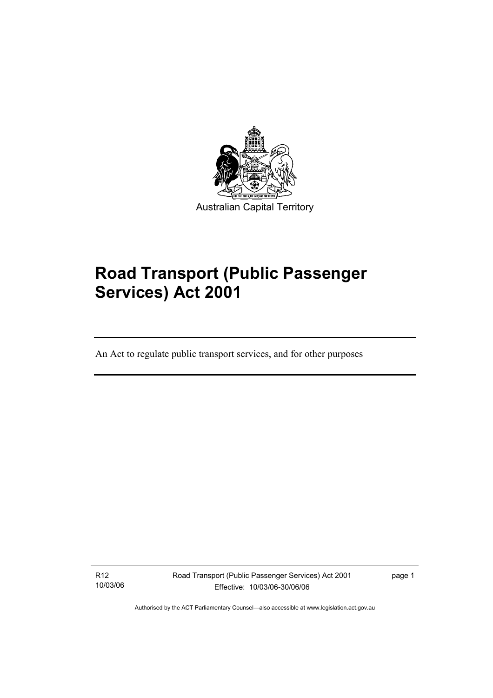

# **Road Transport (Public Passenger Services) Act 2001**

An Act to regulate public transport services, and for other purposes

R12 10/03/06

I

Road Transport (Public Passenger Services) Act 2001 Effective: 10/03/06-30/06/06

page 1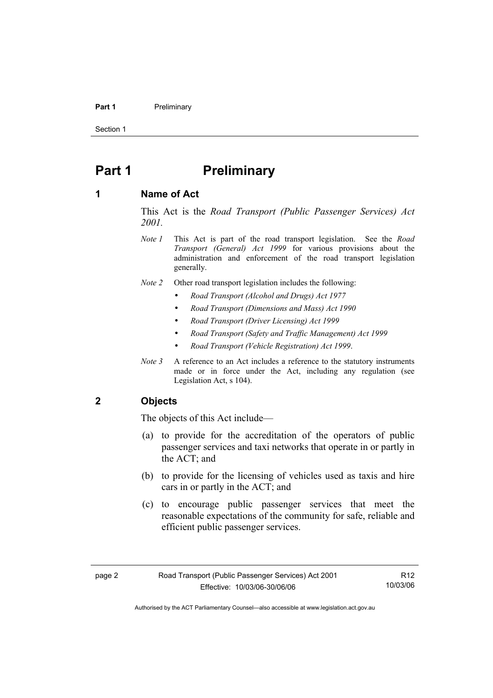#### **Part 1** Preliminary

Section 1

# **Part 1** Preliminary

#### **1 Name of Act**

This Act is the *Road Transport (Public Passenger Services) Act 2001.* 

- *Note 1* This Act is part of the road transport legislation. See the *Road Transport (General) Act 1999* for various provisions about the administration and enforcement of the road transport legislation generally.
- *Note 2* Other road transport legislation includes the following:
	- *Road Transport (Alcohol and Drugs) Act 1977*
	- *Road Transport (Dimensions and Mass) Act 1990*
	- *Road Transport (Driver Licensing) Act 1999*
	- *Road Transport (Safety and Traffic Management) Act 1999*
	- *Road Transport (Vehicle Registration) Act 1999*.
- *Note 3* A reference to an Act includes a reference to the statutory instruments made or in force under the Act, including any regulation (see Legislation Act, s 104).

#### **2 Objects**

The objects of this Act include—

- (a) to provide for the accreditation of the operators of public passenger services and taxi networks that operate in or partly in the ACT; and
- (b) to provide for the licensing of vehicles used as taxis and hire cars in or partly in the ACT; and
- (c) to encourage public passenger services that meet the reasonable expectations of the community for safe, reliable and efficient public passenger services.

R12 10/03/06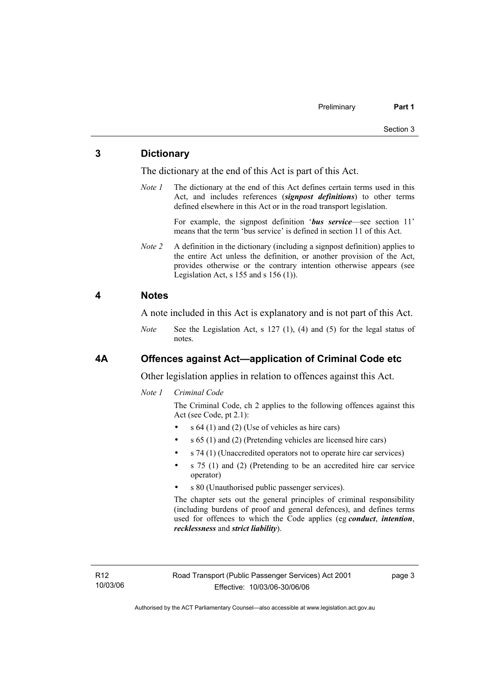#### **3 Dictionary**

The dictionary at the end of this Act is part of this Act.

*Note 1* The dictionary at the end of this Act defines certain terms used in this Act, and includes references (*signpost definitions*) to other terms defined elsewhere in this Act or in the road transport legislation.

> For example, the signpost definition '*bus service*—see section 11' means that the term 'bus service' is defined in section 11 of this Act.

*Note 2* A definition in the dictionary (including a signpost definition) applies to the entire Act unless the definition, or another provision of the Act, provides otherwise or the contrary intention otherwise appears (see Legislation Act,  $s$  155 and  $s$  156 (1)).

#### **4 Notes**

A note included in this Act is explanatory and is not part of this Act.

*Note* See the Legislation Act, s 127 (1), (4) and (5) for the legal status of notes.

#### **4A Offences against Act—application of Criminal Code etc**

Other legislation applies in relation to offences against this Act.

*Note 1 Criminal Code* 

The Criminal Code, ch 2 applies to the following offences against this Act (see Code, pt 2.1):

- $s$  64 (1) and (2) (Use of vehicles as hire cars)
- s 65 (1) and (2) (Pretending vehicles are licensed hire cars)
- s 74 (1) (Unaccredited operators not to operate hire car services)
- s 75 (1) and (2) (Pretending to be an accredited hire car service operator)
- s 80 (Unauthorised public passenger services).

The chapter sets out the general principles of criminal responsibility (including burdens of proof and general defences), and defines terms used for offences to which the Code applies (eg *conduct*, *intention*, *recklessness* and *strict liability*).

R12 10/03/06 page 3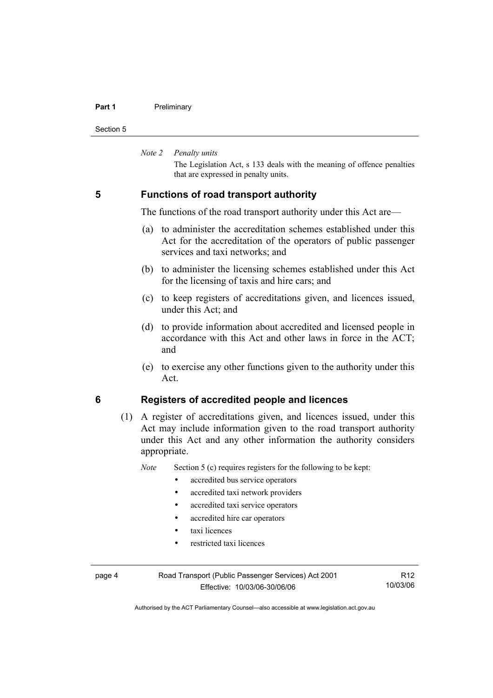#### **Part 1** Preliminary

Section 5

*Note 2 Penalty units* 

The Legislation Act, s 133 deals with the meaning of offence penalties that are expressed in penalty units.

#### **5 Functions of road transport authority**

The functions of the road transport authority under this Act are—

- (a) to administer the accreditation schemes established under this Act for the accreditation of the operators of public passenger services and taxi networks; and
- (b) to administer the licensing schemes established under this Act for the licensing of taxis and hire cars; and
- (c) to keep registers of accreditations given, and licences issued, under this Act; and
- (d) to provide information about accredited and licensed people in accordance with this Act and other laws in force in the ACT; and
- (e) to exercise any other functions given to the authority under this Act.

### **6 Registers of accredited people and licences**

 (1) A register of accreditations given, and licences issued, under this Act may include information given to the road transport authority under this Act and any other information the authority considers appropriate.

*Note* Section 5 (c) requires registers for the following to be kept:

- accredited bus service operators
- accredited taxi network providers
- accredited taxi service operators
- accredited hire car operators
- taxi licences
- restricted taxi licences

page 4 Road Transport (Public Passenger Services) Act 2001 Effective: 10/03/06-30/06/06

R12 10/03/06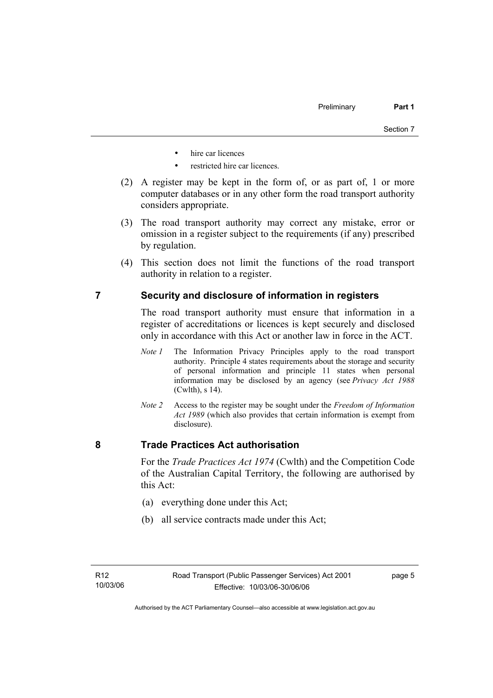- hire car licences
- restricted hire car licences.
- (2) A register may be kept in the form of, or as part of, 1 or more computer databases or in any other form the road transport authority considers appropriate.
- (3) The road transport authority may correct any mistake, error or omission in a register subject to the requirements (if any) prescribed by regulation.
- (4) This section does not limit the functions of the road transport authority in relation to a register.

#### **7 Security and disclosure of information in registers**

The road transport authority must ensure that information in a register of accreditations or licences is kept securely and disclosed only in accordance with this Act or another law in force in the ACT.

- *Note 1* The Information Privacy Principles apply to the road transport authority. Principle 4 states requirements about the storage and security of personal information and principle 11 states when personal information may be disclosed by an agency (see *Privacy Act 1988* (Cwlth), s 14).
- *Note 2* Access to the register may be sought under the *Freedom of Information Act 1989* (which also provides that certain information is exempt from disclosure).

#### **8 Trade Practices Act authorisation**

For the *Trade Practices Act 1974* (Cwlth) and the Competition Code of the Australian Capital Territory, the following are authorised by this Act:

- (a) everything done under this Act;
- (b) all service contracts made under this Act;

page 5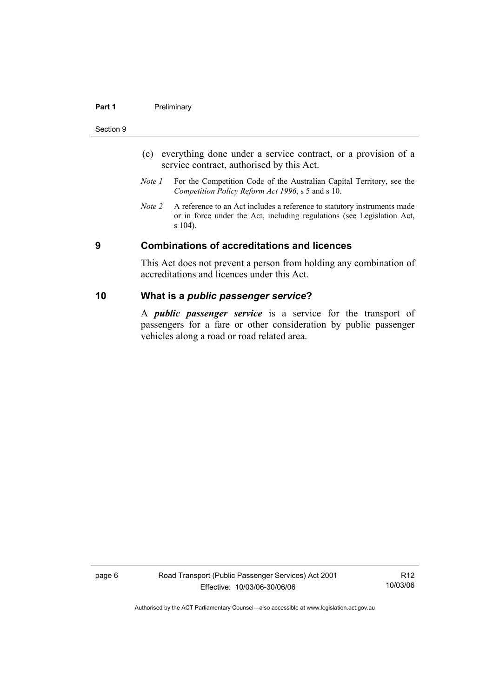#### **Part 1** Preliminary

#### Section 9

- (c) everything done under a service contract, or a provision of a service contract, authorised by this Act.
- *Note 1* For the Competition Code of the Australian Capital Territory, see the *Competition Policy Reform Act 1996*, s 5 and s 10.
- *Note 2* A reference to an Act includes a reference to statutory instruments made or in force under the Act, including regulations (see Legislation Act, s 104).

#### **9 Combinations of accreditations and licences**

This Act does not prevent a person from holding any combination of accreditations and licences under this Act.

#### **10 What is a** *public passenger service***?**

A *public passenger service* is a service for the transport of passengers for a fare or other consideration by public passenger vehicles along a road or road related area.

page 6 Road Transport (Public Passenger Services) Act 2001 Effective: 10/03/06-30/06/06

R12 10/03/06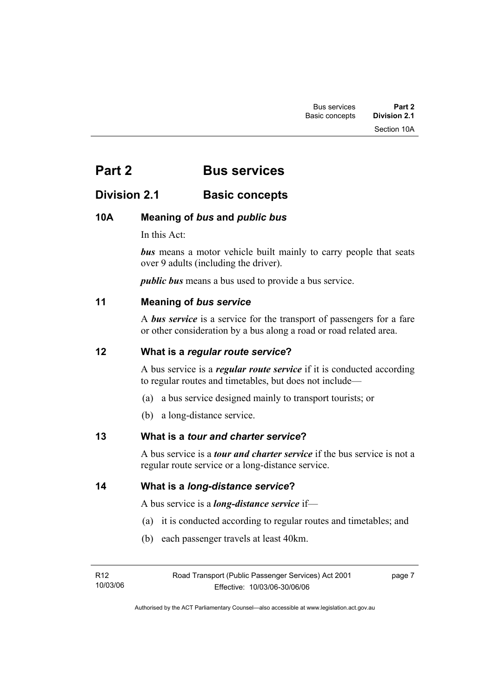# **Part 2 Bus services**

# **Division 2.1** Basic concepts

# **10A Meaning of** *bus* **and** *public bus*

In this Act:

*bus* means a motor vehicle built mainly to carry people that seats over 9 adults (including the driver).

*public bus* means a bus used to provide a bus service.

#### **11 Meaning of** *bus service*

A *bus service* is a service for the transport of passengers for a fare or other consideration by a bus along a road or road related area.

#### **12 What is a** *regular route service***?**

A bus service is a *regular route service* if it is conducted according to regular routes and timetables, but does not include—

- (a) a bus service designed mainly to transport tourists; or
- (b) a long-distance service.

#### **13 What is a** *tour and charter service***?**

A bus service is a *tour and charter service* if the bus service is not a regular route service or a long-distance service.

**14 What is a** *long-distance service***?**

A bus service is a *long-distance service* if—

- (a) it is conducted according to regular routes and timetables; and
- (b) each passenger travels at least 40km.

| R12      | Road Transport (Public Passenger Services) Act 2001 | page 7 |
|----------|-----------------------------------------------------|--------|
| 10/03/06 | Effective: 10/03/06-30/06/06                        |        |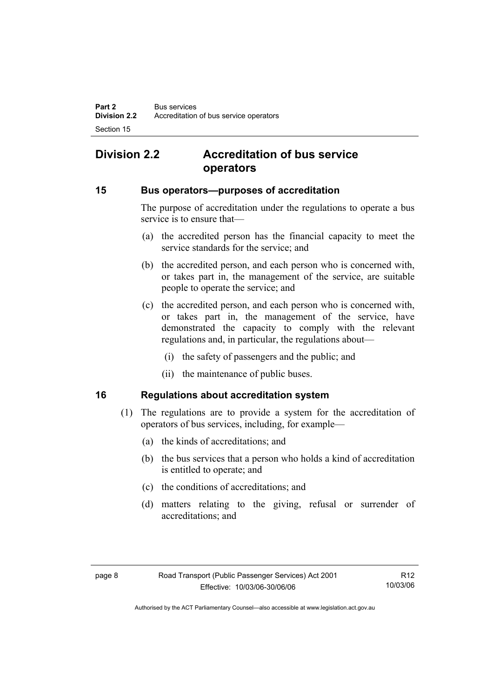# **Division 2.2 Accreditation of bus service operators**

#### **15 Bus operators—purposes of accreditation**

The purpose of accreditation under the regulations to operate a bus service is to ensure that—

- (a) the accredited person has the financial capacity to meet the service standards for the service; and
- (b) the accredited person, and each person who is concerned with, or takes part in, the management of the service, are suitable people to operate the service; and
- (c) the accredited person, and each person who is concerned with, or takes part in, the management of the service, have demonstrated the capacity to comply with the relevant regulations and, in particular, the regulations about—
	- (i) the safety of passengers and the public; and
	- (ii) the maintenance of public buses.

#### **16 Regulations about accreditation system**

- (1) The regulations are to provide a system for the accreditation of operators of bus services, including, for example—
	- (a) the kinds of accreditations; and
	- (b) the bus services that a person who holds a kind of accreditation is entitled to operate; and
	- (c) the conditions of accreditations; and
	- (d) matters relating to the giving, refusal or surrender of accreditations; and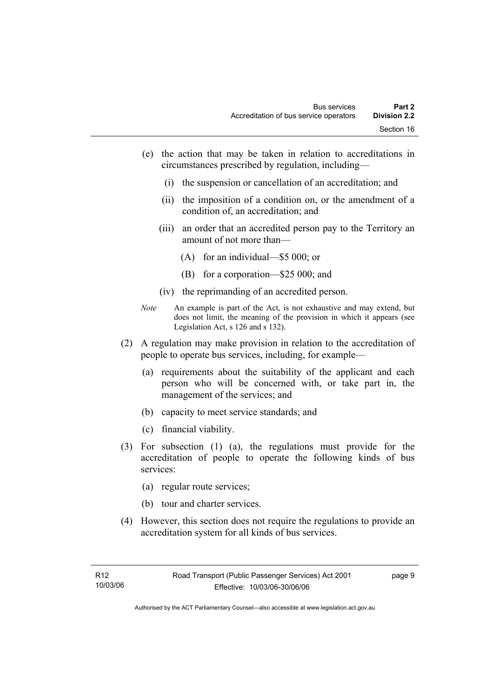- (e) the action that may be taken in relation to accreditations in circumstances prescribed by regulation, including—
	- (i) the suspension or cancellation of an accreditation; and
	- (ii) the imposition of a condition on, or the amendment of a condition of, an accreditation; and
	- (iii) an order that an accredited person pay to the Territory an amount of not more than—
		- (A) for an individual—\$5 000; or
		- (B) for a corporation—\$25 000; and
	- (iv) the reprimanding of an accredited person.
- *Note* An example is part of the Act, is not exhaustive and may extend, but does not limit, the meaning of the provision in which it appears (see Legislation Act, s 126 and s 132).
- (2) A regulation may make provision in relation to the accreditation of people to operate bus services, including, for example—
	- (a) requirements about the suitability of the applicant and each person who will be concerned with, or take part in, the management of the services; and
	- (b) capacity to meet service standards; and
	- (c) financial viability.
- (3) For subsection (1) (a), the regulations must provide for the accreditation of people to operate the following kinds of bus services:
	- (a) regular route services;
	- (b) tour and charter services.
- (4) However, this section does not require the regulations to provide an accreditation system for all kinds of bus services.

page 9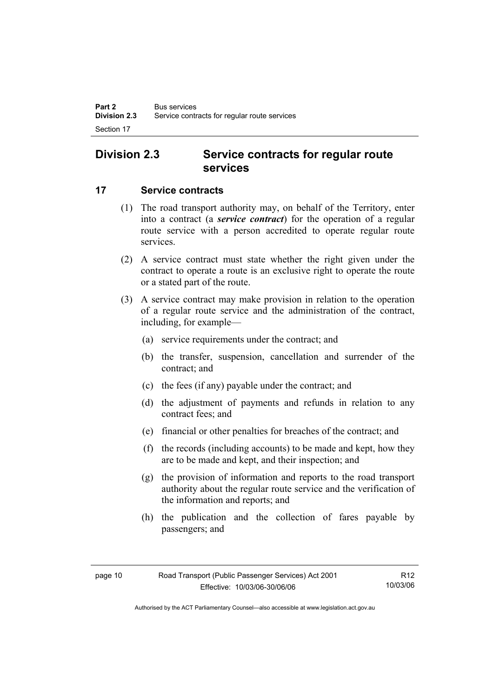# **Division 2.3 Service contracts for regular route services**

### **17 Service contracts**

- (1) The road transport authority may, on behalf of the Territory, enter into a contract (a *service contract*) for the operation of a regular route service with a person accredited to operate regular route services.
- (2) A service contract must state whether the right given under the contract to operate a route is an exclusive right to operate the route or a stated part of the route.
- (3) A service contract may make provision in relation to the operation of a regular route service and the administration of the contract, including, for example—
	- (a) service requirements under the contract; and
	- (b) the transfer, suspension, cancellation and surrender of the contract; and
	- (c) the fees (if any) payable under the contract; and
	- (d) the adjustment of payments and refunds in relation to any contract fees; and
	- (e) financial or other penalties for breaches of the contract; and
	- (f) the records (including accounts) to be made and kept, how they are to be made and kept, and their inspection; and
	- (g) the provision of information and reports to the road transport authority about the regular route service and the verification of the information and reports; and
	- (h) the publication and the collection of fares payable by passengers; and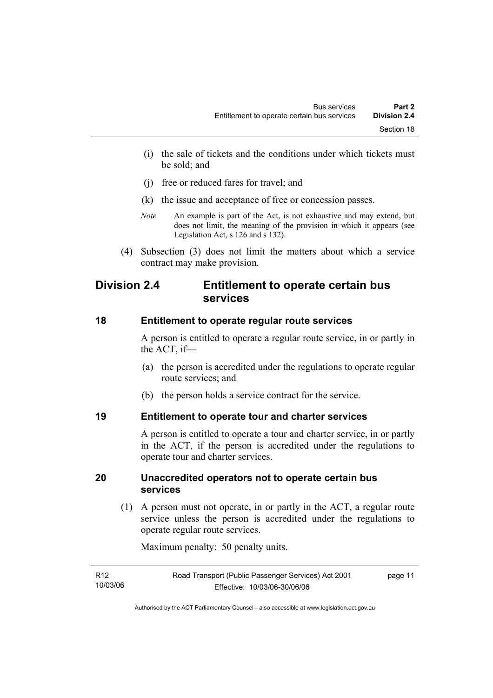- (i) the sale of tickets and the conditions under which tickets must be sold; and
- (j) free or reduced fares for travel; and
- (k) the issue and acceptance of free or concession passes.
- *Note* An example is part of the Act, is not exhaustive and may extend, but does not limit, the meaning of the provision in which it appears (see Legislation Act, s 126 and s 132).
- (4) Subsection (3) does not limit the matters about which a service contract may make provision.

# **Division 2.4 Entitlement to operate certain bus services**

#### **18 Entitlement to operate regular route services**

A person is entitled to operate a regular route service, in or partly in the ACT, if—

- (a) the person is accredited under the regulations to operate regular route services; and
- (b) the person holds a service contract for the service.

#### **19 Entitlement to operate tour and charter services**

A person is entitled to operate a tour and charter service, in or partly in the ACT, if the person is accredited under the regulations to operate tour and charter services.

#### **20 Unaccredited operators not to operate certain bus services**

 (1) A person must not operate, in or partly in the ACT, a regular route service unless the person is accredited under the regulations to operate regular route services.

Maximum penalty: 50 penalty units.

| R12      | Road Transport (Public Passenger Services) Act 2001 | page 11 |
|----------|-----------------------------------------------------|---------|
| 10/03/06 | Effective: 10/03/06-30/06/06                        |         |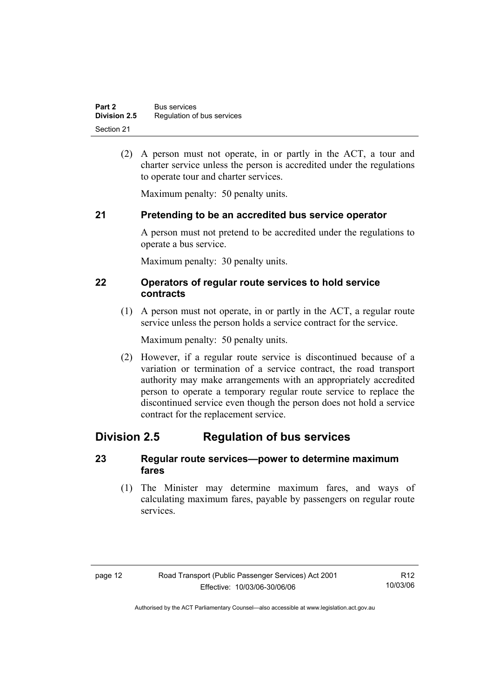(2) A person must not operate, in or partly in the ACT, a tour and charter service unless the person is accredited under the regulations to operate tour and charter services.

Maximum penalty: 50 penalty units.

# **21 Pretending to be an accredited bus service operator**

A person must not pretend to be accredited under the regulations to operate a bus service.

Maximum penalty: 30 penalty units.

### **22 Operators of regular route services to hold service contracts**

 (1) A person must not operate, in or partly in the ACT, a regular route service unless the person holds a service contract for the service.

Maximum penalty: 50 penalty units.

 (2) However, if a regular route service is discontinued because of a variation or termination of a service contract, the road transport authority may make arrangements with an appropriately accredited person to operate a temporary regular route service to replace the discontinued service even though the person does not hold a service contract for the replacement service.

# **Division 2.5 Regulation of bus services**

### **23 Regular route services—power to determine maximum fares**

 (1) The Minister may determine maximum fares, and ways of calculating maximum fares, payable by passengers on regular route services.

| page 12 | Road Transport (Public Passenger Services) Act 2001 | R <sub>12</sub> |
|---------|-----------------------------------------------------|-----------------|
|         | Effective: 10/03/06-30/06/06                        | 10/03/06        |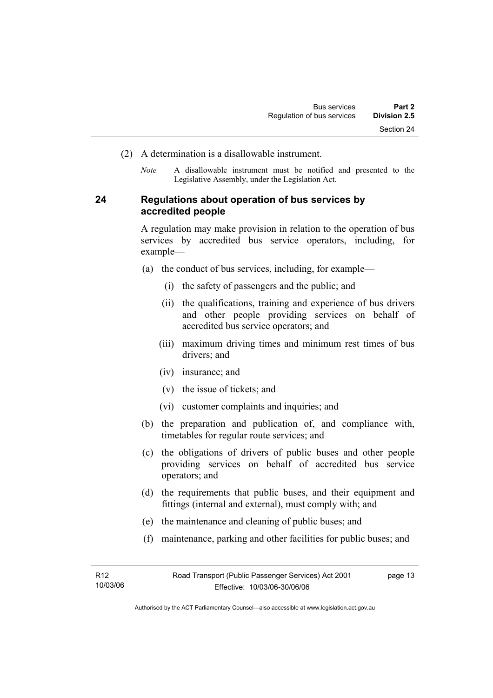- (2) A determination is a disallowable instrument.
	- *Note* A disallowable instrument must be notified and presented to the Legislative Assembly, under the Legislation Act.

### **24 Regulations about operation of bus services by accredited people**

A regulation may make provision in relation to the operation of bus services by accredited bus service operators, including, for example—

- (a) the conduct of bus services, including, for example—
	- (i) the safety of passengers and the public; and
	- (ii) the qualifications, training and experience of bus drivers and other people providing services on behalf of accredited bus service operators; and
	- (iii) maximum driving times and minimum rest times of bus drivers; and
	- (iv) insurance; and
	- (v) the issue of tickets; and
	- (vi) customer complaints and inquiries; and
- (b) the preparation and publication of, and compliance with, timetables for regular route services; and
- (c) the obligations of drivers of public buses and other people providing services on behalf of accredited bus service operators; and
- (d) the requirements that public buses, and their equipment and fittings (internal and external), must comply with; and
- (e) the maintenance and cleaning of public buses; and
- (f) maintenance, parking and other facilities for public buses; and

page 13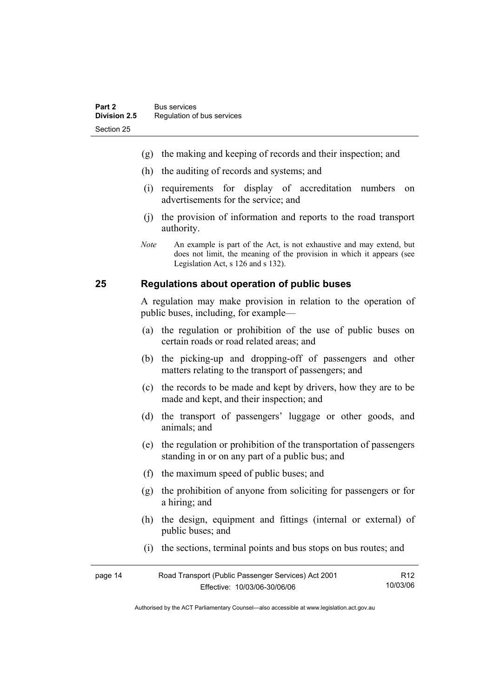- (g) the making and keeping of records and their inspection; and
- (h) the auditing of records and systems; and
- (i) requirements for display of accreditation numbers on advertisements for the service; and
- (j) the provision of information and reports to the road transport authority.
- *Note* An example is part of the Act, is not exhaustive and may extend, but does not limit, the meaning of the provision in which it appears (see Legislation Act, s 126 and s 132).

#### **25 Regulations about operation of public buses**

A regulation may make provision in relation to the operation of public buses, including, for example—

- (a) the regulation or prohibition of the use of public buses on certain roads or road related areas; and
- (b) the picking-up and dropping-off of passengers and other matters relating to the transport of passengers; and
- (c) the records to be made and kept by drivers, how they are to be made and kept, and their inspection; and
- (d) the transport of passengers' luggage or other goods, and animals; and
- (e) the regulation or prohibition of the transportation of passengers standing in or on any part of a public bus; and
- (f) the maximum speed of public buses; and
- (g) the prohibition of anyone from soliciting for passengers or for a hiring; and
- (h) the design, equipment and fittings (internal or external) of public buses; and
- (i) the sections, terminal points and bus stops on bus routes; and

| page 14 | Road Transport (Public Passenger Services) Act 2001 | R12      |
|---------|-----------------------------------------------------|----------|
|         | Effective: 10/03/06-30/06/06                        | 10/03/06 |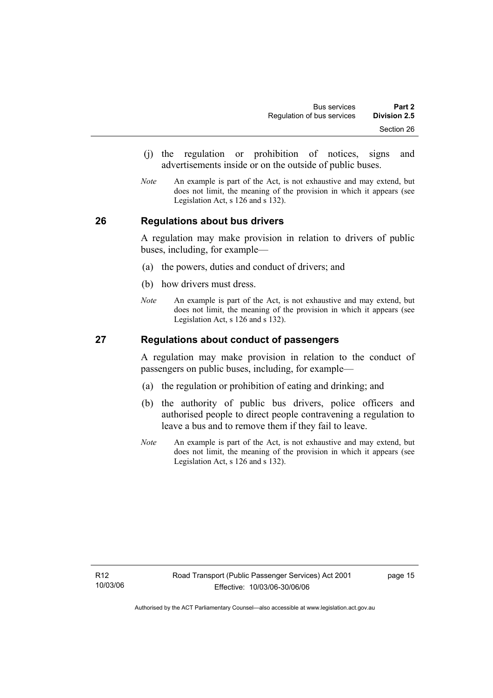- (j) the regulation or prohibition of notices, signs and advertisements inside or on the outside of public buses.
- *Note* An example is part of the Act, is not exhaustive and may extend, but does not limit, the meaning of the provision in which it appears (see Legislation Act, s 126 and s 132).

#### **26 Regulations about bus drivers**

A regulation may make provision in relation to drivers of public buses, including, for example—

- (a) the powers, duties and conduct of drivers; and
- (b) how drivers must dress.
- *Note* An example is part of the Act, is not exhaustive and may extend, but does not limit, the meaning of the provision in which it appears (see Legislation Act, s 126 and s 132).

#### **27 Regulations about conduct of passengers**

A regulation may make provision in relation to the conduct of passengers on public buses, including, for example—

- (a) the regulation or prohibition of eating and drinking; and
- (b) the authority of public bus drivers, police officers and authorised people to direct people contravening a regulation to leave a bus and to remove them if they fail to leave.
- *Note* An example is part of the Act, is not exhaustive and may extend, but does not limit, the meaning of the provision in which it appears (see Legislation Act, s 126 and s 132).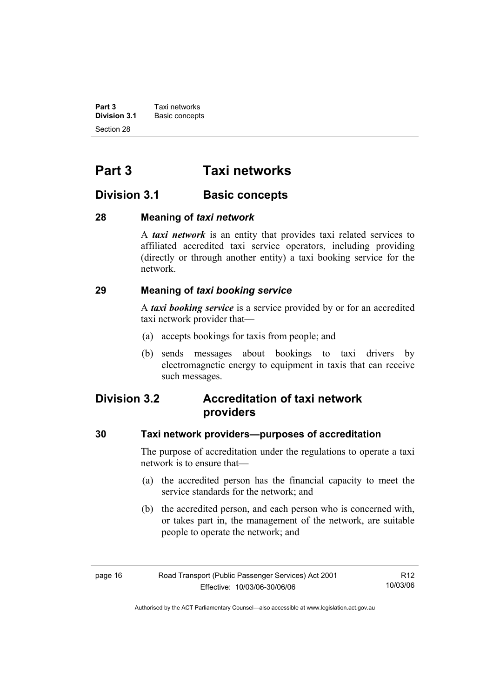**Part 3 Taxi networks**<br>**Division 3.1 Basic concept Basic concepts** Section 28

# **Part 3 Taxi networks**

# **Division 3.1** Basic concepts

### **28 Meaning of** *taxi network*

A *taxi network* is an entity that provides taxi related services to affiliated accredited taxi service operators, including providing (directly or through another entity) a taxi booking service for the network.

# **29 Meaning of** *taxi booking service*

A *taxi booking service* is a service provided by or for an accredited taxi network provider that—

- (a) accepts bookings for taxis from people; and
- (b) sends messages about bookings to taxi drivers by electromagnetic energy to equipment in taxis that can receive such messages.

# **Division 3.2 Accreditation of taxi network providers**

#### **30 Taxi network providers—purposes of accreditation**

The purpose of accreditation under the regulations to operate a taxi network is to ensure that—

- (a) the accredited person has the financial capacity to meet the service standards for the network; and
- (b) the accredited person, and each person who is concerned with, or takes part in, the management of the network, are suitable people to operate the network; and

| page 16 | Road Transport (Public Passenger Services) Act 2001 | R <sub>12</sub> |
|---------|-----------------------------------------------------|-----------------|
|         | Effective: 10/03/06-30/06/06                        | 10/03/06        |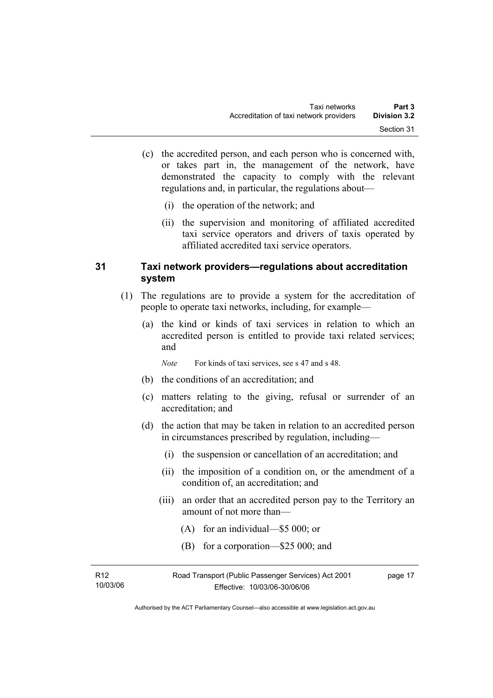- (c) the accredited person, and each person who is concerned with, or takes part in, the management of the network, have demonstrated the capacity to comply with the relevant regulations and, in particular, the regulations about—
	- (i) the operation of the network; and
	- (ii) the supervision and monitoring of affiliated accredited taxi service operators and drivers of taxis operated by affiliated accredited taxi service operators.

### **31 Taxi network providers—regulations about accreditation system**

- (1) The regulations are to provide a system for the accreditation of people to operate taxi networks, including, for example—
	- (a) the kind or kinds of taxi services in relation to which an accredited person is entitled to provide taxi related services; and
		- *Note* For kinds of taxi services, see s 47 and s 48.
	- (b) the conditions of an accreditation; and
	- (c) matters relating to the giving, refusal or surrender of an accreditation; and
	- (d) the action that may be taken in relation to an accredited person in circumstances prescribed by regulation, including—
		- (i) the suspension or cancellation of an accreditation; and
		- (ii) the imposition of a condition on, or the amendment of a condition of, an accreditation; and
		- (iii) an order that an accredited person pay to the Territory an amount of not more than—
			- (A) for an individual—\$5 000; or
			- (B) for a corporation—\$25 000; and

| R12      | Road Transport (Public Passenger Services) Act 2001 | page 17 |
|----------|-----------------------------------------------------|---------|
| 10/03/06 | Effective: 10/03/06-30/06/06                        |         |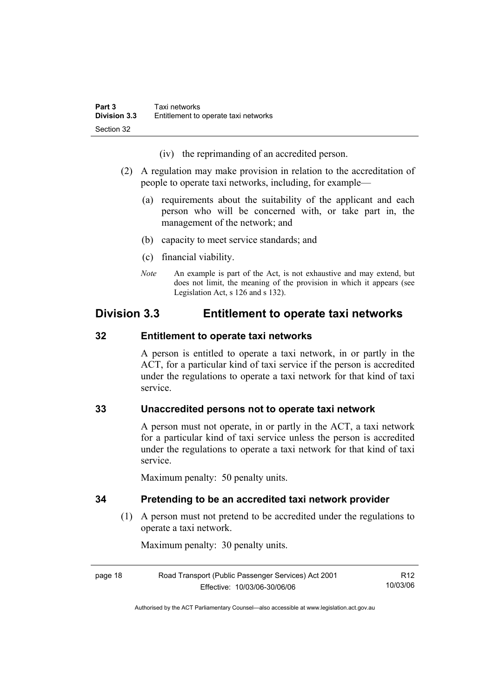(iv) the reprimanding of an accredited person.

- (2) A regulation may make provision in relation to the accreditation of people to operate taxi networks, including, for example—
	- (a) requirements about the suitability of the applicant and each person who will be concerned with, or take part in, the management of the network; and
	- (b) capacity to meet service standards; and
	- (c) financial viability.
	- *Note* An example is part of the Act, is not exhaustive and may extend, but does not limit, the meaning of the provision in which it appears (see Legislation Act, s 126 and s 132).

# **Division 3.3 Entitlement to operate taxi networks**

### **32 Entitlement to operate taxi networks**

A person is entitled to operate a taxi network, in or partly in the ACT, for a particular kind of taxi service if the person is accredited under the regulations to operate a taxi network for that kind of taxi service.

# **33 Unaccredited persons not to operate taxi network**

A person must not operate, in or partly in the ACT, a taxi network for a particular kind of taxi service unless the person is accredited under the regulations to operate a taxi network for that kind of taxi service.

Maximum penalty: 50 penalty units.

#### **34 Pretending to be an accredited taxi network provider**

 (1) A person must not pretend to be accredited under the regulations to operate a taxi network.

Maximum penalty: 30 penalty units.

page 18 Road Transport (Public Passenger Services) Act 2001 Effective: 10/03/06-30/06/06 R12 10/03/06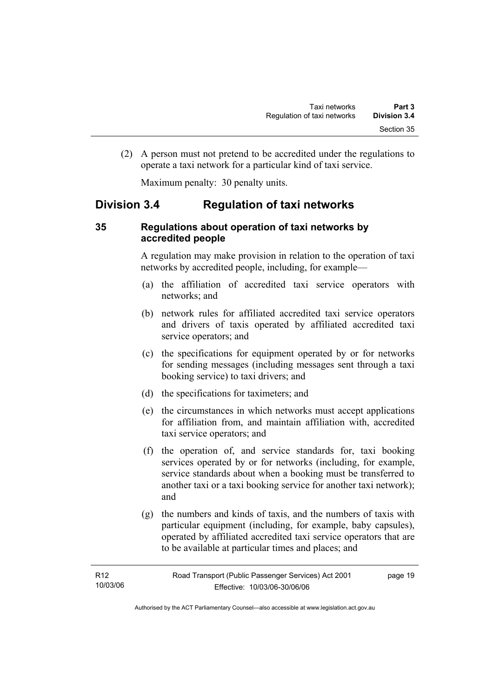(2) A person must not pretend to be accredited under the regulations to operate a taxi network for a particular kind of taxi service.

Maximum penalty: 30 penalty units.

# **Division 3.4 Regulation of taxi networks**

### **35 Regulations about operation of taxi networks by accredited people**

A regulation may make provision in relation to the operation of taxi networks by accredited people, including, for example—

- (a) the affiliation of accredited taxi service operators with networks; and
- (b) network rules for affiliated accredited taxi service operators and drivers of taxis operated by affiliated accredited taxi service operators; and
- (c) the specifications for equipment operated by or for networks for sending messages (including messages sent through a taxi booking service) to taxi drivers; and
- (d) the specifications for taximeters; and
- (e) the circumstances in which networks must accept applications for affiliation from, and maintain affiliation with, accredited taxi service operators; and
- (f) the operation of, and service standards for, taxi booking services operated by or for networks (including, for example, service standards about when a booking must be transferred to another taxi or a taxi booking service for another taxi network); and
- (g) the numbers and kinds of taxis, and the numbers of taxis with particular equipment (including, for example, baby capsules), operated by affiliated accredited taxi service operators that are to be available at particular times and places; and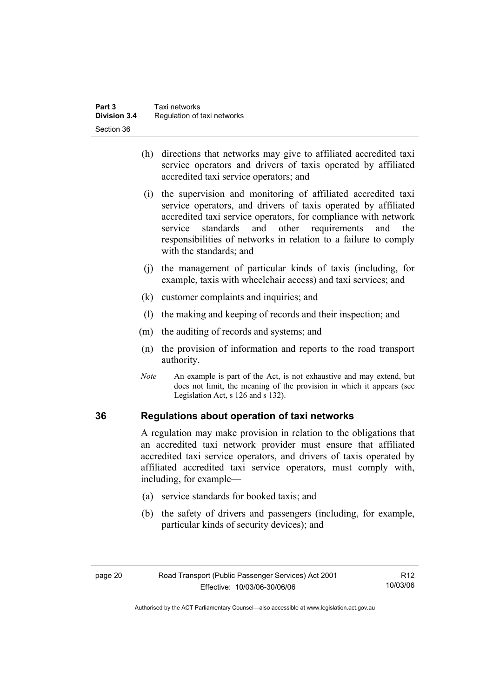- (h) directions that networks may give to affiliated accredited taxi service operators and drivers of taxis operated by affiliated accredited taxi service operators; and
- (i) the supervision and monitoring of affiliated accredited taxi service operators, and drivers of taxis operated by affiliated accredited taxi service operators, for compliance with network service standards and other requirements and the responsibilities of networks in relation to a failure to comply with the standards; and
- (j) the management of particular kinds of taxis (including, for example, taxis with wheelchair access) and taxi services; and
- (k) customer complaints and inquiries; and
- (l) the making and keeping of records and their inspection; and
- (m) the auditing of records and systems; and
- (n) the provision of information and reports to the road transport authority.
- *Note* An example is part of the Act, is not exhaustive and may extend, but does not limit, the meaning of the provision in which it appears (see Legislation Act, s 126 and s 132).

#### **36 Regulations about operation of taxi networks**

A regulation may make provision in relation to the obligations that an accredited taxi network provider must ensure that affiliated accredited taxi service operators, and drivers of taxis operated by affiliated accredited taxi service operators, must comply with, including, for example—

- (a) service standards for booked taxis; and
- (b) the safety of drivers and passengers (including, for example, particular kinds of security devices); and

R12 10/03/06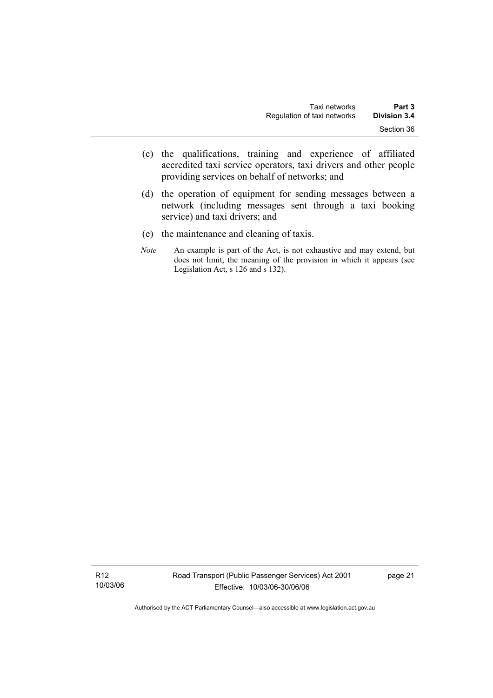- (c) the qualifications, training and experience of affiliated accredited taxi service operators, taxi drivers and other people providing services on behalf of networks; and
- (d) the operation of equipment for sending messages between a network (including messages sent through a taxi booking service) and taxi drivers; and
- (e) the maintenance and cleaning of taxis.
- *Note* An example is part of the Act, is not exhaustive and may extend, but does not limit, the meaning of the provision in which it appears (see Legislation Act, s 126 and s 132).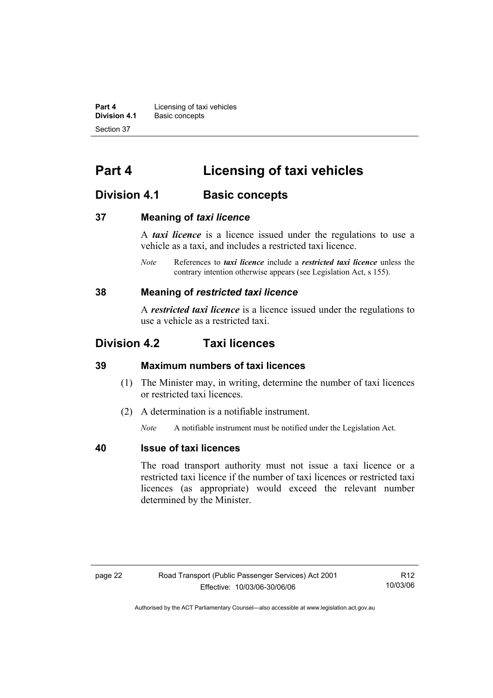**Part 4 Licensing of taxi vehicles**<br>**Division 4.1** Basic concepts **Division 4.1** Basic concepts Section 37

# **Part 4 Licensing of taxi vehicles**

# **Division 4.1 Basic concepts**

#### **37 Meaning of** *taxi licence*

A *taxi licence* is a licence issued under the regulations to use a vehicle as a taxi, and includes a restricted taxi licence.

*Note* References to *taxi licence* include a *restricted taxi licence* unless the contrary intention otherwise appears (see Legislation Act, s 155).

#### **38 Meaning of** *restricted taxi licence*

A *restricted taxi licence* is a licence issued under the regulations to use a vehicle as a restricted taxi.

# **Division 4.2 Taxi licences**

#### **39 Maximum numbers of taxi licences**

- (1) The Minister may, in writing, determine the number of taxi licences or restricted taxi licences.
- (2) A determination is a notifiable instrument.

*Note* A notifiable instrument must be notified under the Legislation Act.

#### **40 Issue of taxi licences**

The road transport authority must not issue a taxi licence or a restricted taxi licence if the number of taxi licences or restricted taxi licences (as appropriate) would exceed the relevant number determined by the Minister.

R12 10/03/06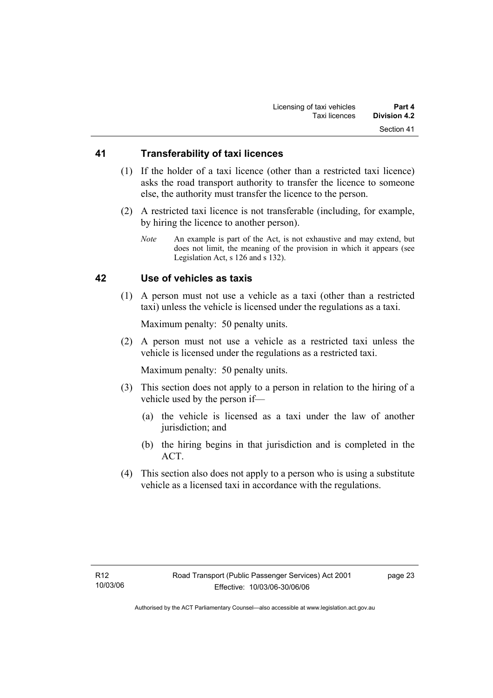#### **41 Transferability of taxi licences**

- (1) If the holder of a taxi licence (other than a restricted taxi licence) asks the road transport authority to transfer the licence to someone else, the authority must transfer the licence to the person.
- (2) A restricted taxi licence is not transferable (including, for example, by hiring the licence to another person).
	- *Note* An example is part of the Act, is not exhaustive and may extend, but does not limit, the meaning of the provision in which it appears (see Legislation Act, s 126 and s 132).

### **42 Use of vehicles as taxis**

 (1) A person must not use a vehicle as a taxi (other than a restricted taxi) unless the vehicle is licensed under the regulations as a taxi.

Maximum penalty: 50 penalty units.

 (2) A person must not use a vehicle as a restricted taxi unless the vehicle is licensed under the regulations as a restricted taxi.

Maximum penalty: 50 penalty units.

- (3) This section does not apply to a person in relation to the hiring of a vehicle used by the person if—
	- (a) the vehicle is licensed as a taxi under the law of another jurisdiction; and
	- (b) the hiring begins in that jurisdiction and is completed in the ACT.
- (4) This section also does not apply to a person who is using a substitute vehicle as a licensed taxi in accordance with the regulations.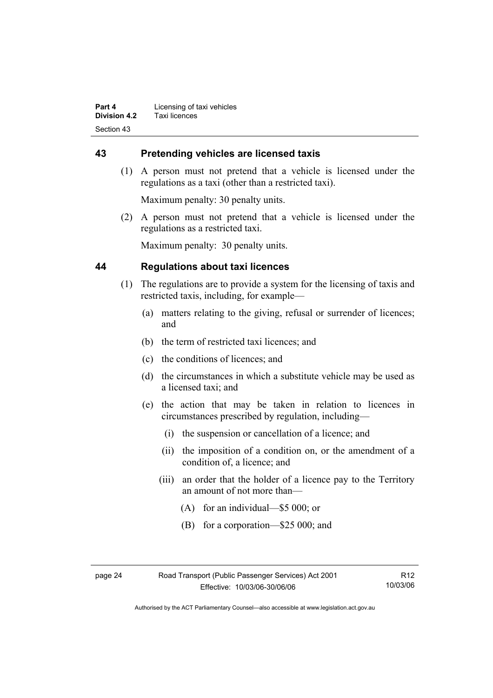# **43 Pretending vehicles are licensed taxis**

 (1) A person must not pretend that a vehicle is licensed under the regulations as a taxi (other than a restricted taxi).

Maximum penalty: 30 penalty units.

 (2) A person must not pretend that a vehicle is licensed under the regulations as a restricted taxi.

Maximum penalty: 30 penalty units.

### **44 Regulations about taxi licences**

- (1) The regulations are to provide a system for the licensing of taxis and restricted taxis, including, for example—
	- (a) matters relating to the giving, refusal or surrender of licences; and
	- (b) the term of restricted taxi licences; and
	- (c) the conditions of licences; and
	- (d) the circumstances in which a substitute vehicle may be used as a licensed taxi; and
	- (e) the action that may be taken in relation to licences in circumstances prescribed by regulation, including—
		- (i) the suspension or cancellation of a licence; and
		- (ii) the imposition of a condition on, or the amendment of a condition of, a licence; and
		- (iii) an order that the holder of a licence pay to the Territory an amount of not more than—
			- (A) for an individual—\$5 000; or
			- (B) for a corporation—\$25 000; and

| r<br>٠<br>ı |  |
|-------------|--|
|-------------|--|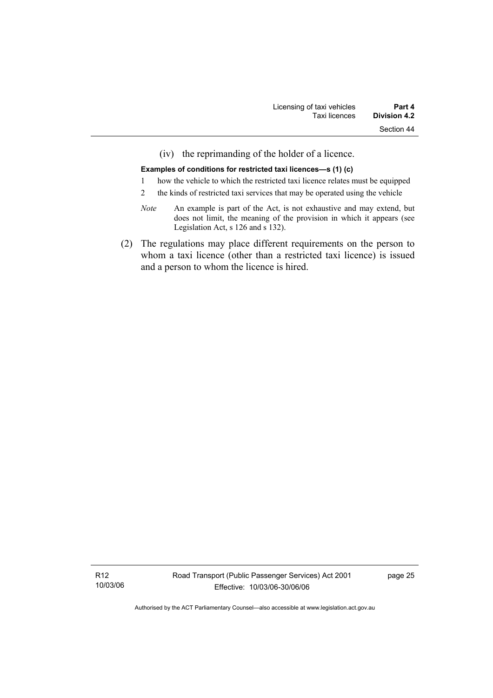(iv) the reprimanding of the holder of a licence.

#### **Examples of conditions for restricted taxi licences—s (1) (c)**

- 1 how the vehicle to which the restricted taxi licence relates must be equipped
- 2 the kinds of restricted taxi services that may be operated using the vehicle
- *Note* An example is part of the Act, is not exhaustive and may extend, but does not limit, the meaning of the provision in which it appears (see Legislation Act, s 126 and s 132).
- (2) The regulations may place different requirements on the person to whom a taxi licence (other than a restricted taxi licence) is issued and a person to whom the licence is hired.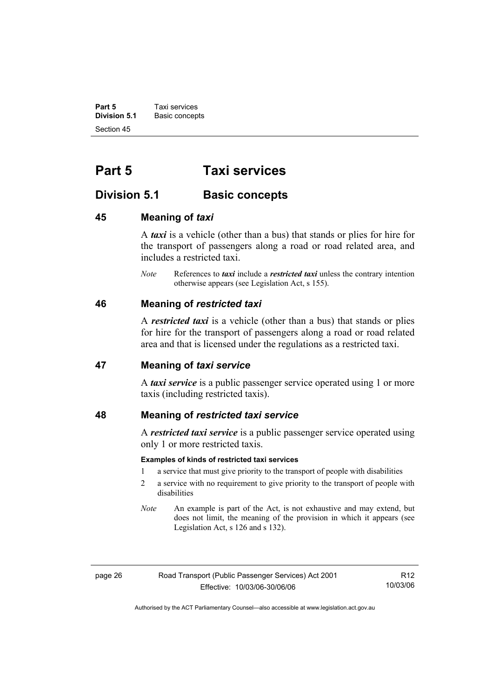**Part 5 Taxi services**<br>**Division 5.1 Basic concep Division 5.1** Basic concepts Section 45

# **Part 5 Taxi services**

# **Division 5.1** Basic concepts

#### **45 Meaning of** *taxi*

A *taxi* is a vehicle (other than a bus) that stands or plies for hire for the transport of passengers along a road or road related area, and includes a restricted taxi.

*Note* References to *taxi* include a *restricted taxi* unless the contrary intention otherwise appears (see Legislation Act, s 155).

### **46 Meaning of** *restricted taxi*

A *restricted taxi* is a vehicle (other than a bus) that stands or plies for hire for the transport of passengers along a road or road related area and that is licensed under the regulations as a restricted taxi.

#### **47 Meaning of** *taxi service*

A *taxi service* is a public passenger service operated using 1 or more taxis (including restricted taxis).

#### **48 Meaning of** *restricted taxi service*

A *restricted taxi service* is a public passenger service operated using only 1 or more restricted taxis.

#### **Examples of kinds of restricted taxi services**

- 1 a service that must give priority to the transport of people with disabilities
- 2 a service with no requirement to give priority to the transport of people with disabilities
- *Note* An example is part of the Act, is not exhaustive and may extend, but does not limit, the meaning of the provision in which it appears (see Legislation Act, s 126 and s 132).

R12 10/03/06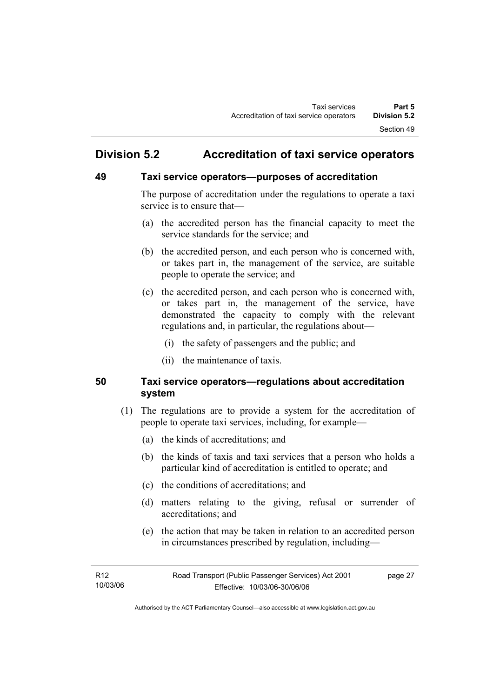# **Division 5.2 Accreditation of taxi service operators**

# **49 Taxi service operators—purposes of accreditation**

The purpose of accreditation under the regulations to operate a taxi service is to ensure that—

- (a) the accredited person has the financial capacity to meet the service standards for the service; and
- (b) the accredited person, and each person who is concerned with, or takes part in, the management of the service, are suitable people to operate the service; and
- (c) the accredited person, and each person who is concerned with, or takes part in, the management of the service, have demonstrated the capacity to comply with the relevant regulations and, in particular, the regulations about—
	- (i) the safety of passengers and the public; and
	- (ii) the maintenance of taxis.

# **50 Taxi service operators—regulations about accreditation system**

- (1) The regulations are to provide a system for the accreditation of people to operate taxi services, including, for example—
	- (a) the kinds of accreditations; and
	- (b) the kinds of taxis and taxi services that a person who holds a particular kind of accreditation is entitled to operate; and
	- (c) the conditions of accreditations; and
	- (d) matters relating to the giving, refusal or surrender of accreditations; and
	- (e) the action that may be taken in relation to an accredited person in circumstances prescribed by regulation, including—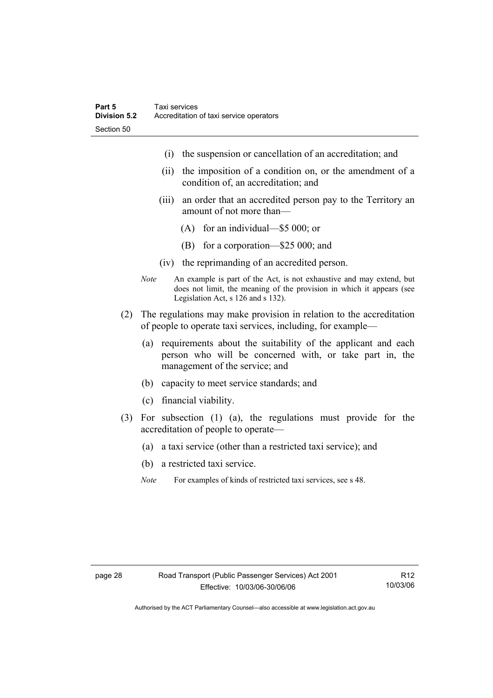- (i) the suspension or cancellation of an accreditation; and
- (ii) the imposition of a condition on, or the amendment of a condition of, an accreditation; and
- (iii) an order that an accredited person pay to the Territory an amount of not more than—
	- (A) for an individual—\$5 000; or
	- (B) for a corporation—\$25 000; and
- (iv) the reprimanding of an accredited person.
- *Note* An example is part of the Act, is not exhaustive and may extend, but does not limit, the meaning of the provision in which it appears (see Legislation Act, s 126 and s 132).
- (2) The regulations may make provision in relation to the accreditation of people to operate taxi services, including, for example—
	- (a) requirements about the suitability of the applicant and each person who will be concerned with, or take part in, the management of the service; and
	- (b) capacity to meet service standards; and
	- (c) financial viability.
- (3) For subsection (1) (a), the regulations must provide for the accreditation of people to operate—
	- (a) a taxi service (other than a restricted taxi service); and
	- (b) a restricted taxi service.
	- *Note* For examples of kinds of restricted taxi services, see s 48.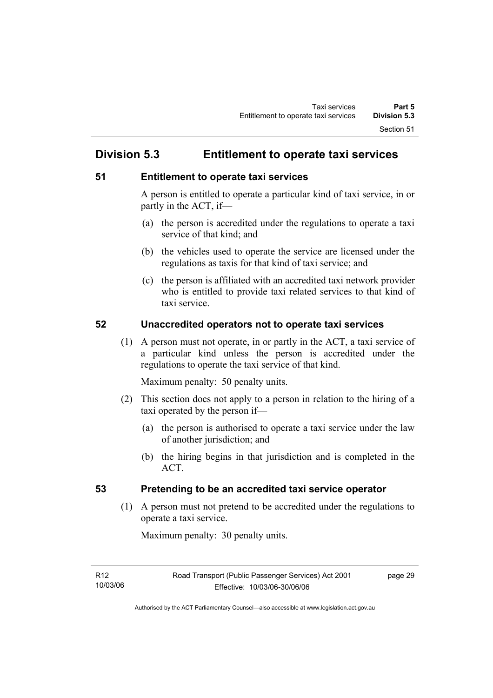# **Division 5.3 Entitlement to operate taxi services**

# **51 Entitlement to operate taxi services**

A person is entitled to operate a particular kind of taxi service, in or partly in the ACT, if—

- (a) the person is accredited under the regulations to operate a taxi service of that kind; and
- (b) the vehicles used to operate the service are licensed under the regulations as taxis for that kind of taxi service; and
- (c) the person is affiliated with an accredited taxi network provider who is entitled to provide taxi related services to that kind of taxi service.

## **52 Unaccredited operators not to operate taxi services**

 (1) A person must not operate, in or partly in the ACT, a taxi service of a particular kind unless the person is accredited under the regulations to operate the taxi service of that kind.

Maximum penalty: 50 penalty units.

- (2) This section does not apply to a person in relation to the hiring of a taxi operated by the person if—
	- (a) the person is authorised to operate a taxi service under the law of another jurisdiction; and
	- (b) the hiring begins in that jurisdiction and is completed in the ACT.

# **53 Pretending to be an accredited taxi service operator**

 (1) A person must not pretend to be accredited under the regulations to operate a taxi service.

Maximum penalty: 30 penalty units.

page 29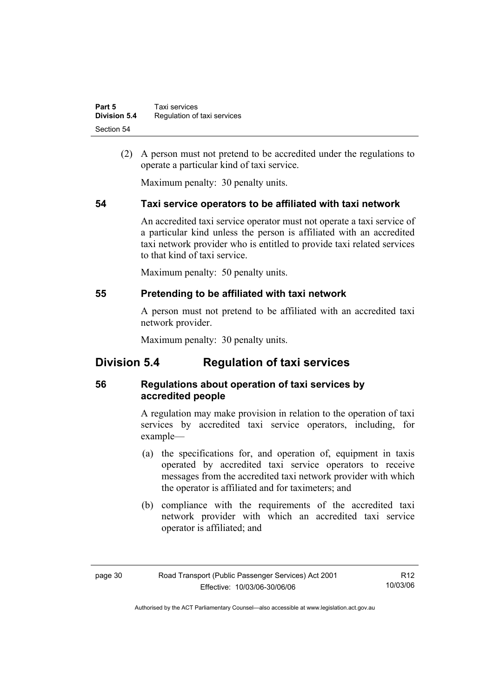| Part 5              | Taxi services               |
|---------------------|-----------------------------|
| <b>Division 5.4</b> | Regulation of taxi services |
| Section 54          |                             |

 (2) A person must not pretend to be accredited under the regulations to operate a particular kind of taxi service.

Maximum penalty: 30 penalty units.

### **54 Taxi service operators to be affiliated with taxi network**

An accredited taxi service operator must not operate a taxi service of a particular kind unless the person is affiliated with an accredited taxi network provider who is entitled to provide taxi related services to that kind of taxi service.

Maximum penalty: 50 penalty units.

### **55 Pretending to be affiliated with taxi network**

A person must not pretend to be affiliated with an accredited taxi network provider.

Maximum penalty: 30 penalty units.

# **Division 5.4 Regulation of taxi services**

## **56 Regulations about operation of taxi services by accredited people**

A regulation may make provision in relation to the operation of taxi services by accredited taxi service operators, including, for example—

- (a) the specifications for, and operation of, equipment in taxis operated by accredited taxi service operators to receive messages from the accredited taxi network provider with which the operator is affiliated and for taximeters; and
- (b) compliance with the requirements of the accredited taxi network provider with which an accredited taxi service operator is affiliated; and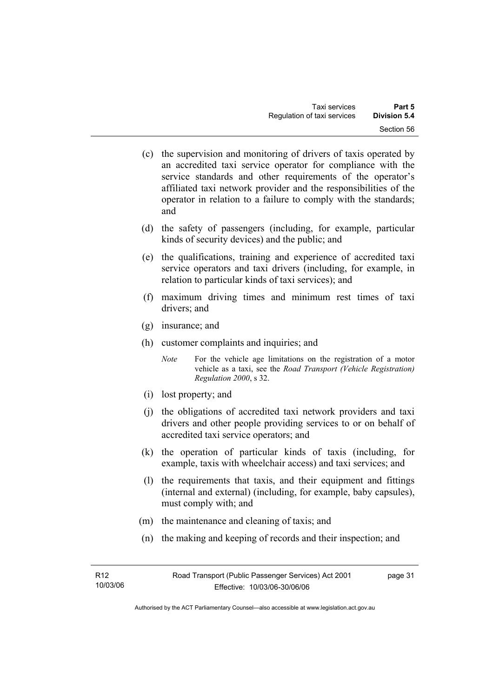- (c) the supervision and monitoring of drivers of taxis operated by an accredited taxi service operator for compliance with the service standards and other requirements of the operator's affiliated taxi network provider and the responsibilities of the operator in relation to a failure to comply with the standards; and
- (d) the safety of passengers (including, for example, particular kinds of security devices) and the public; and
- (e) the qualifications, training and experience of accredited taxi service operators and taxi drivers (including, for example, in relation to particular kinds of taxi services); and
- (f) maximum driving times and minimum rest times of taxi drivers; and
- (g) insurance; and
- (h) customer complaints and inquiries; and
	- *Note* For the vehicle age limitations on the registration of a motor vehicle as a taxi, see the *Road Transport (Vehicle Registration) Regulation 2000*, s 32.
- (i) lost property; and
- (j) the obligations of accredited taxi network providers and taxi drivers and other people providing services to or on behalf of accredited taxi service operators; and
- (k) the operation of particular kinds of taxis (including, for example, taxis with wheelchair access) and taxi services; and
- (l) the requirements that taxis, and their equipment and fittings (internal and external) (including, for example, baby capsules), must comply with; and
- (m) the maintenance and cleaning of taxis; and
- (n) the making and keeping of records and their inspection; and

page 31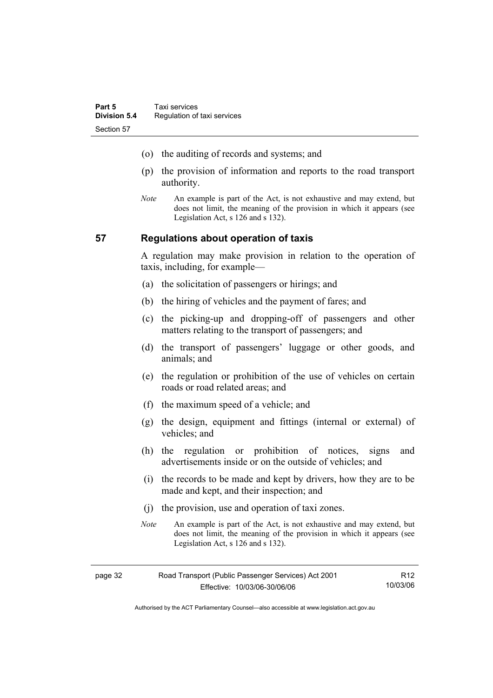- (o) the auditing of records and systems; and
- (p) the provision of information and reports to the road transport authority.
- *Note* An example is part of the Act, is not exhaustive and may extend, but does not limit, the meaning of the provision in which it appears (see Legislation Act, s 126 and s 132).

### **57 Regulations about operation of taxis**

A regulation may make provision in relation to the operation of taxis, including, for example—

- (a) the solicitation of passengers or hirings; and
- (b) the hiring of vehicles and the payment of fares; and
- (c) the picking-up and dropping-off of passengers and other matters relating to the transport of passengers; and
- (d) the transport of passengers' luggage or other goods, and animals; and
- (e) the regulation or prohibition of the use of vehicles on certain roads or road related areas; and
- (f) the maximum speed of a vehicle; and
- (g) the design, equipment and fittings (internal or external) of vehicles; and
- (h) the regulation or prohibition of notices, signs and advertisements inside or on the outside of vehicles; and
- (i) the records to be made and kept by drivers, how they are to be made and kept, and their inspection; and
- (j) the provision, use and operation of taxi zones.
- *Note* An example is part of the Act, is not exhaustive and may extend, but does not limit, the meaning of the provision in which it appears (see Legislation Act, s 126 and s 132).

| page 32 | Road Transport (Public Passenger Services) Act 2001 | R12      |
|---------|-----------------------------------------------------|----------|
|         | Effective: 10/03/06-30/06/06                        | 10/03/06 |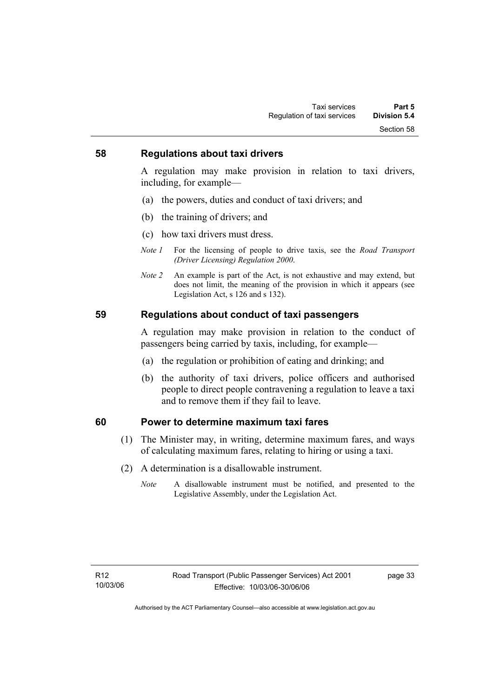### **58 Regulations about taxi drivers**

A regulation may make provision in relation to taxi drivers, including, for example—

- (a) the powers, duties and conduct of taxi drivers; and
- (b) the training of drivers; and
- (c) how taxi drivers must dress.
- *Note 1* For the licensing of people to drive taxis, see the *Road Transport (Driver Licensing) Regulation 2000*.
- *Note 2* An example is part of the Act, is not exhaustive and may extend, but does not limit, the meaning of the provision in which it appears (see Legislation Act, s 126 and s 132).

### **59 Regulations about conduct of taxi passengers**

A regulation may make provision in relation to the conduct of passengers being carried by taxis, including, for example—

- (a) the regulation or prohibition of eating and drinking; and
- (b) the authority of taxi drivers, police officers and authorised people to direct people contravening a regulation to leave a taxi and to remove them if they fail to leave.

### **60 Power to determine maximum taxi fares**

- (1) The Minister may, in writing, determine maximum fares, and ways of calculating maximum fares, relating to hiring or using a taxi.
- (2) A determination is a disallowable instrument.
	- *Note* A disallowable instrument must be notified, and presented to the Legislative Assembly, under the Legislation Act.

page 33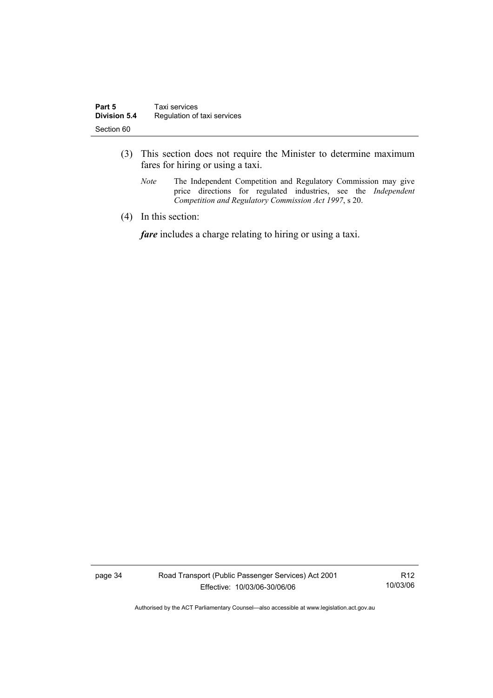- (3) This section does not require the Minister to determine maximum fares for hiring or using a taxi.
	- *Note* The Independent Competition and Regulatory Commission may give price directions for regulated industries, see the *Independent Competition and Regulatory Commission Act 1997*, s 20.
- (4) In this section:

*fare* includes a charge relating to hiring or using a taxi.

page 34 Road Transport (Public Passenger Services) Act 2001 Effective: 10/03/06-30/06/06

R12 10/03/06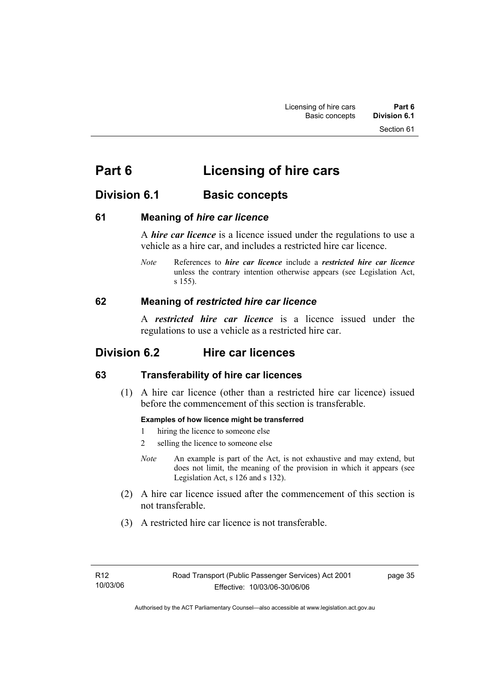Section 61

# **Division 6.1** Basic concepts

## **61 Meaning of** *hire car licence*

A *hire car licence* is a licence issued under the regulations to use a vehicle as a hire car, and includes a restricted hire car licence.

*Note* References to *hire car licence* include a *restricted hire car licence* unless the contrary intention otherwise appears (see Legislation Act, s 155).

## **62 Meaning of** *restricted hire car licence*

A *restricted hire car licence* is a licence issued under the regulations to use a vehicle as a restricted hire car.

# **Division 6.2 Hire car licences**

# **63 Transferability of hire car licences**

 (1) A hire car licence (other than a restricted hire car licence) issued before the commencement of this section is transferable.

### **Examples of how licence might be transferred**

- 1 hiring the licence to someone else
- 2 selling the licence to someone else
- *Note* An example is part of the Act, is not exhaustive and may extend, but does not limit, the meaning of the provision in which it appears (see Legislation Act, s 126 and s 132).
- (2) A hire car licence issued after the commencement of this section is not transferable.
- (3) A restricted hire car licence is not transferable.

page 35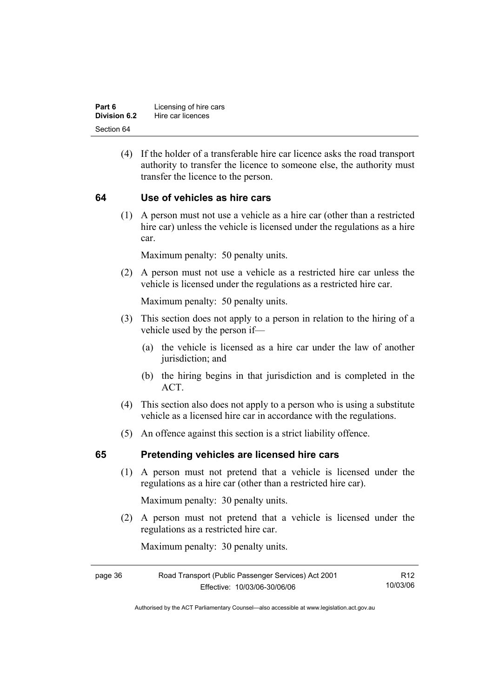| Part 6              | Licensing of hire cars |
|---------------------|------------------------|
| <b>Division 6.2</b> | Hire car licences      |
| Section 64          |                        |

 (4) If the holder of a transferable hire car licence asks the road transport authority to transfer the licence to someone else, the authority must transfer the licence to the person.

### **64 Use of vehicles as hire cars**

 (1) A person must not use a vehicle as a hire car (other than a restricted hire car) unless the vehicle is licensed under the regulations as a hire car.

Maximum penalty: 50 penalty units.

 (2) A person must not use a vehicle as a restricted hire car unless the vehicle is licensed under the regulations as a restricted hire car.

Maximum penalty: 50 penalty units.

- (3) This section does not apply to a person in relation to the hiring of a vehicle used by the person if—
	- (a) the vehicle is licensed as a hire car under the law of another jurisdiction; and
	- (b) the hiring begins in that jurisdiction and is completed in the ACT.
- (4) This section also does not apply to a person who is using a substitute vehicle as a licensed hire car in accordance with the regulations.
- (5) An offence against this section is a strict liability offence.

### **65 Pretending vehicles are licensed hire cars**

 (1) A person must not pretend that a vehicle is licensed under the regulations as a hire car (other than a restricted hire car).

Maximum penalty: 30 penalty units.

 (2) A person must not pretend that a vehicle is licensed under the regulations as a restricted hire car.

Maximum penalty: 30 penalty units.

| page 36 | Road Transport (Public Passenger Services) Act 2001 | R12      |
|---------|-----------------------------------------------------|----------|
|         | Effective: 10/03/06-30/06/06                        | 10/03/06 |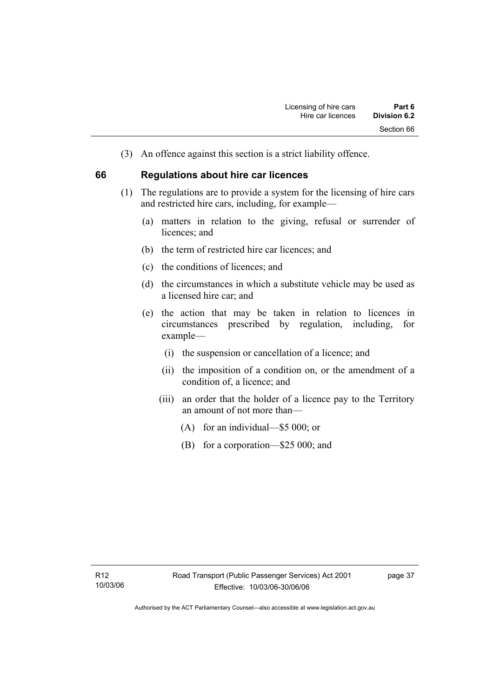(3) An offence against this section is a strict liability offence.

### **66 Regulations about hire car licences**

- (1) The regulations are to provide a system for the licensing of hire cars and restricted hire cars, including, for example—
	- (a) matters in relation to the giving, refusal or surrender of licences: and
	- (b) the term of restricted hire car licences; and
	- (c) the conditions of licences; and
	- (d) the circumstances in which a substitute vehicle may be used as a licensed hire car; and
	- (e) the action that may be taken in relation to licences in circumstances prescribed by regulation, including, for example—
		- (i) the suspension or cancellation of a licence; and
		- (ii) the imposition of a condition on, or the amendment of a condition of, a licence; and
		- (iii) an order that the holder of a licence pay to the Territory an amount of not more than—
			- (A) for an individual—\$5 000; or
			- (B) for a corporation—\$25 000; and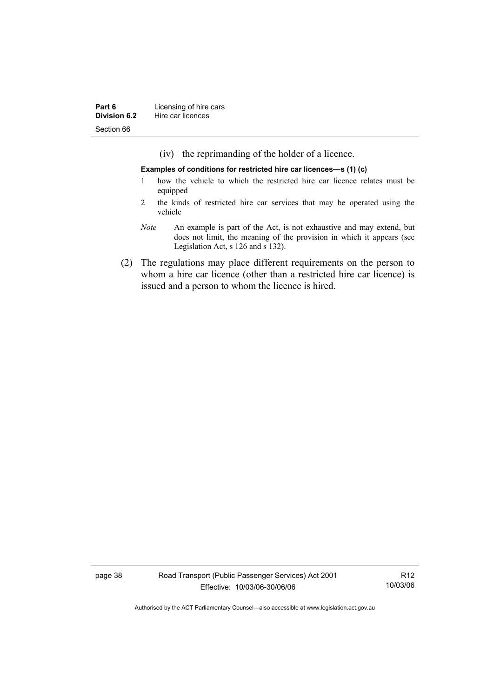(iv) the reprimanding of the holder of a licence.

**Examples of conditions for restricted hire car licences—s (1) (c)** 

- 1 how the vehicle to which the restricted hire car licence relates must be equipped
- 2 the kinds of restricted hire car services that may be operated using the vehicle
- *Note* An example is part of the Act, is not exhaustive and may extend, but does not limit, the meaning of the provision in which it appears (see Legislation Act, s 126 and s 132).
- (2) The regulations may place different requirements on the person to whom a hire car licence (other than a restricted hire car licence) is issued and a person to whom the licence is hired.

page 38 Road Transport (Public Passenger Services) Act 2001 Effective: 10/03/06-30/06/06

R12 10/03/06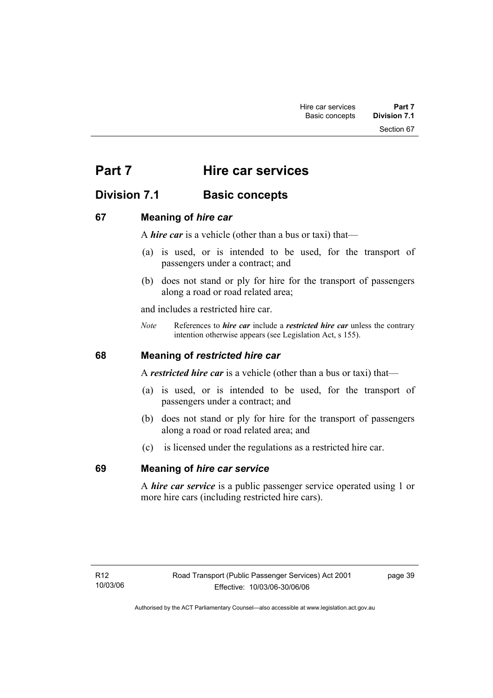# **Part 7 Hire car services**

# **Division 7.1 Basic concepts**

# **67 Meaning of** *hire car*

A *hire car* is a vehicle (other than a bus or taxi) that—

- (a) is used, or is intended to be used, for the transport of passengers under a contract; and
- (b) does not stand or ply for hire for the transport of passengers along a road or road related area;

and includes a restricted hire car.

*Note* References to *hire car* include a *restricted hire car* unless the contrary intention otherwise appears (see Legislation Act, s 155).

# **68 Meaning of** *restricted hire car*

A *restricted hire car* is a vehicle (other than a bus or taxi) that—

- (a) is used, or is intended to be used, for the transport of passengers under a contract; and
- (b) does not stand or ply for hire for the transport of passengers along a road or road related area; and
- (c) is licensed under the regulations as a restricted hire car.

# **69 Meaning of** *hire car service*

A *hire car service* is a public passenger service operated using 1 or more hire cars (including restricted hire cars).

page 39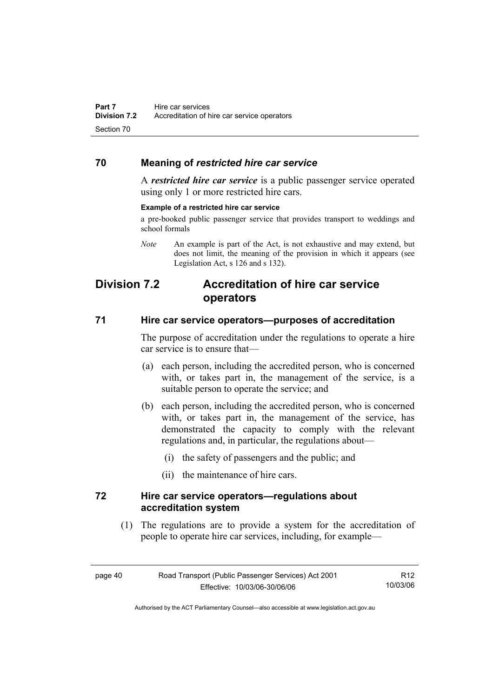# **70 Meaning of** *restricted hire car service*

A *restricted hire car service* is a public passenger service operated using only 1 or more restricted hire cars.

#### **Example of a restricted hire car service**

a pre-booked public passenger service that provides transport to weddings and school formals

*Note* An example is part of the Act, is not exhaustive and may extend, but does not limit, the meaning of the provision in which it appears (see Legislation Act, s 126 and s 132).

# **Division 7.2 Accreditation of hire car service operators**

### **71 Hire car service operators—purposes of accreditation**

The purpose of accreditation under the regulations to operate a hire car service is to ensure that—

- (a) each person, including the accredited person, who is concerned with, or takes part in, the management of the service, is a suitable person to operate the service; and
- (b) each person, including the accredited person, who is concerned with, or takes part in, the management of the service, has demonstrated the capacity to comply with the relevant regulations and, in particular, the regulations about—
	- (i) the safety of passengers and the public; and
	- (ii) the maintenance of hire cars.

### **72 Hire car service operators—regulations about accreditation system**

 (1) The regulations are to provide a system for the accreditation of people to operate hire car services, including, for example—

| page 40 | Road Transport (Public Passenger Services) Act 2001 | R12      |
|---------|-----------------------------------------------------|----------|
|         | Effective: 10/03/06-30/06/06                        | 10/03/06 |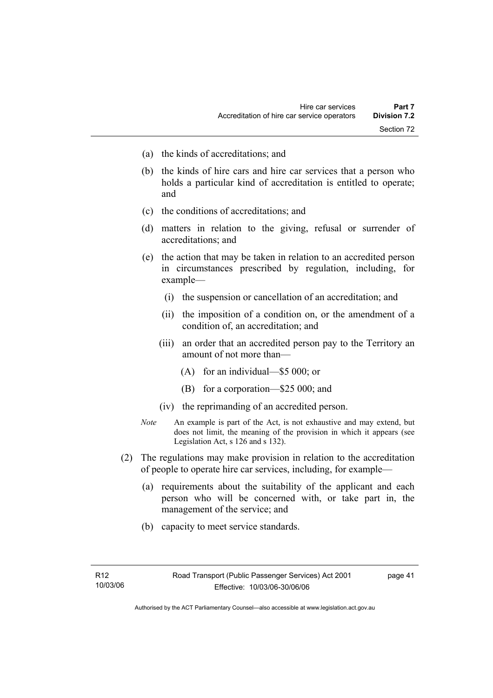- (a) the kinds of accreditations; and
- (b) the kinds of hire cars and hire car services that a person who holds a particular kind of accreditation is entitled to operate; and
- (c) the conditions of accreditations; and
- (d) matters in relation to the giving, refusal or surrender of accreditations; and
- (e) the action that may be taken in relation to an accredited person in circumstances prescribed by regulation, including, for example—
	- (i) the suspension or cancellation of an accreditation; and
	- (ii) the imposition of a condition on, or the amendment of a condition of, an accreditation; and
	- (iii) an order that an accredited person pay to the Territory an amount of not more than—
		- (A) for an individual—\$5 000; or
		- (B) for a corporation—\$25 000; and
	- (iv) the reprimanding of an accredited person.
- *Note* An example is part of the Act, is not exhaustive and may extend, but does not limit, the meaning of the provision in which it appears (see Legislation Act, s 126 and s 132).
- (2) The regulations may make provision in relation to the accreditation of people to operate hire car services, including, for example—
	- (a) requirements about the suitability of the applicant and each person who will be concerned with, or take part in, the management of the service; and
	- (b) capacity to meet service standards.

page 41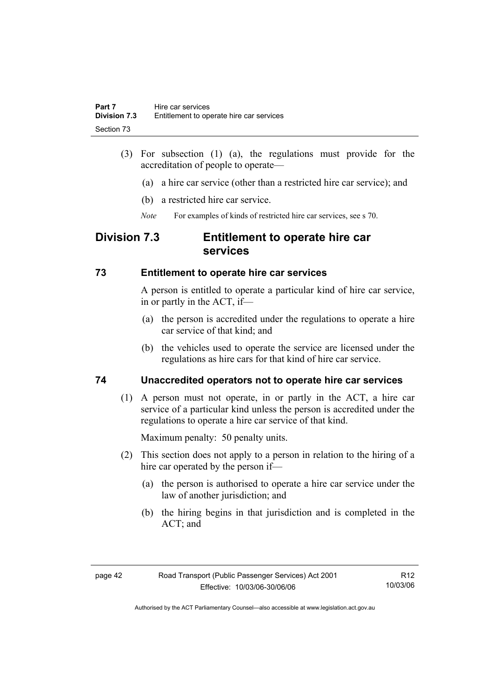- (3) For subsection (1) (a), the regulations must provide for the accreditation of people to operate—
	- (a) a hire car service (other than a restricted hire car service); and
	- (b) a restricted hire car service.
	- *Note* For examples of kinds of restricted hire car services, see s 70.

# **Division 7.3 Entitlement to operate hire car services**

## **73 Entitlement to operate hire car services**

A person is entitled to operate a particular kind of hire car service, in or partly in the ACT, if—

- (a) the person is accredited under the regulations to operate a hire car service of that kind; and
- (b) the vehicles used to operate the service are licensed under the regulations as hire cars for that kind of hire car service.

# **74 Unaccredited operators not to operate hire car services**

 (1) A person must not operate, in or partly in the ACT, a hire car service of a particular kind unless the person is accredited under the regulations to operate a hire car service of that kind.

Maximum penalty: 50 penalty units.

- (2) This section does not apply to a person in relation to the hiring of a hire car operated by the person if—
	- (a) the person is authorised to operate a hire car service under the law of another jurisdiction; and
	- (b) the hiring begins in that jurisdiction and is completed in the ACT; and

R12 10/03/06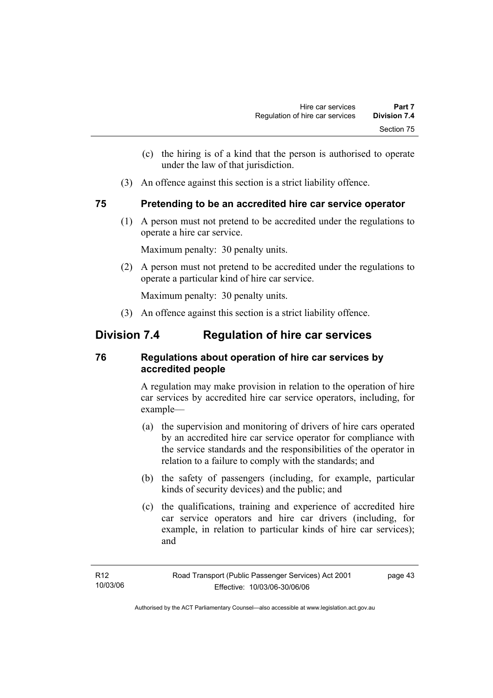- (c) the hiring is of a kind that the person is authorised to operate under the law of that jurisdiction.
- (3) An offence against this section is a strict liability offence.

### **75 Pretending to be an accredited hire car service operator**

 (1) A person must not pretend to be accredited under the regulations to operate a hire car service.

Maximum penalty: 30 penalty units.

 (2) A person must not pretend to be accredited under the regulations to operate a particular kind of hire car service.

Maximum penalty: 30 penalty units.

(3) An offence against this section is a strict liability offence.

# **Division 7.4 Regulation of hire car services**

# **76 Regulations about operation of hire car services by accredited people**

A regulation may make provision in relation to the operation of hire car services by accredited hire car service operators, including, for example—

- (a) the supervision and monitoring of drivers of hire cars operated by an accredited hire car service operator for compliance with the service standards and the responsibilities of the operator in relation to a failure to comply with the standards; and
- (b) the safety of passengers (including, for example, particular kinds of security devices) and the public; and
- (c) the qualifications, training and experience of accredited hire car service operators and hire car drivers (including, for example, in relation to particular kinds of hire car services); and

page 43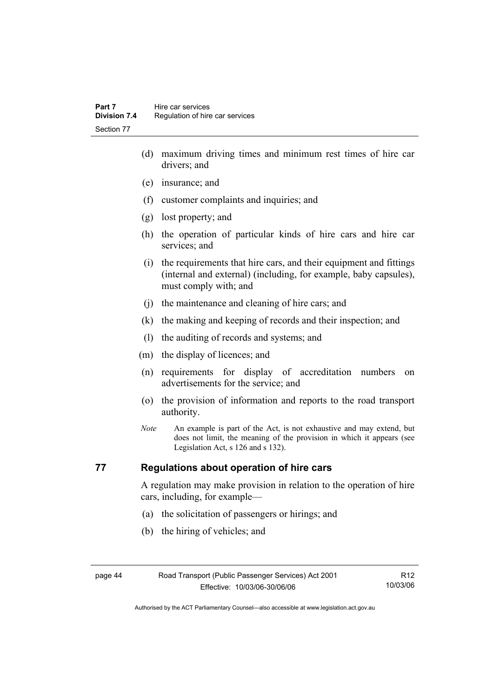- (d) maximum driving times and minimum rest times of hire car drivers; and
- (e) insurance; and
- (f) customer complaints and inquiries; and
- (g) lost property; and
- (h) the operation of particular kinds of hire cars and hire car services; and
- (i) the requirements that hire cars, and their equipment and fittings (internal and external) (including, for example, baby capsules), must comply with; and
- (j) the maintenance and cleaning of hire cars; and
- (k) the making and keeping of records and their inspection; and
- (l) the auditing of records and systems; and
- (m) the display of licences; and
- (n) requirements for display of accreditation numbers on advertisements for the service; and
- (o) the provision of information and reports to the road transport authority.
- *Note* An example is part of the Act, is not exhaustive and may extend, but does not limit, the meaning of the provision in which it appears (see Legislation Act, s 126 and s 132).

### **77 Regulations about operation of hire cars**

A regulation may make provision in relation to the operation of hire cars, including, for example—

- (a) the solicitation of passengers or hirings; and
- (b) the hiring of vehicles; and

|--|--|

R12 10/03/06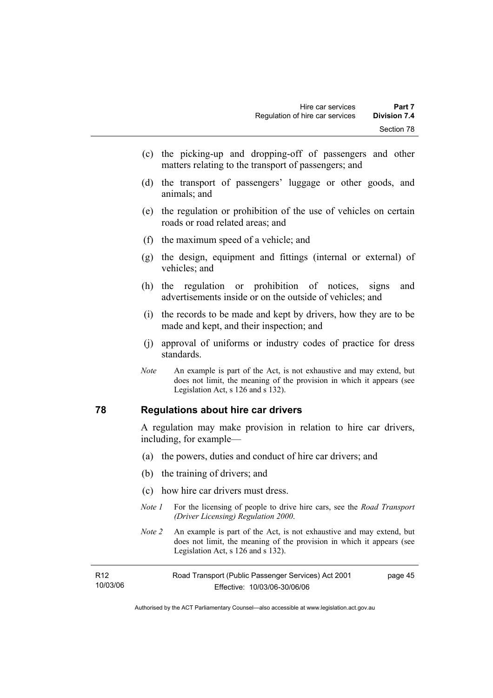- (c) the picking-up and dropping-off of passengers and other matters relating to the transport of passengers; and
- (d) the transport of passengers' luggage or other goods, and animals; and
- (e) the regulation or prohibition of the use of vehicles on certain roads or road related areas; and
- (f) the maximum speed of a vehicle; and
- (g) the design, equipment and fittings (internal or external) of vehicles; and
- (h) the regulation or prohibition of notices, signs and advertisements inside or on the outside of vehicles; and
- (i) the records to be made and kept by drivers, how they are to be made and kept, and their inspection; and
- (j) approval of uniforms or industry codes of practice for dress standards.
- *Note* An example is part of the Act, is not exhaustive and may extend, but does not limit, the meaning of the provision in which it appears (see Legislation Act, s 126 and s 132).

### **78 Regulations about hire car drivers**

A regulation may make provision in relation to hire car drivers, including, for example—

- (a) the powers, duties and conduct of hire car drivers; and
- (b) the training of drivers; and
- (c) how hire car drivers must dress.
- *Note 1* For the licensing of people to drive hire cars, see the *Road Transport (Driver Licensing) Regulation 2000*.
- *Note 2* An example is part of the Act, is not exhaustive and may extend, but does not limit, the meaning of the provision in which it appears (see Legislation Act, s 126 and s 132).

| R12      | Road Transport (Public Passenger Services) Act 2001 | page 45 |
|----------|-----------------------------------------------------|---------|
| 10/03/06 | Effective: 10/03/06-30/06/06                        |         |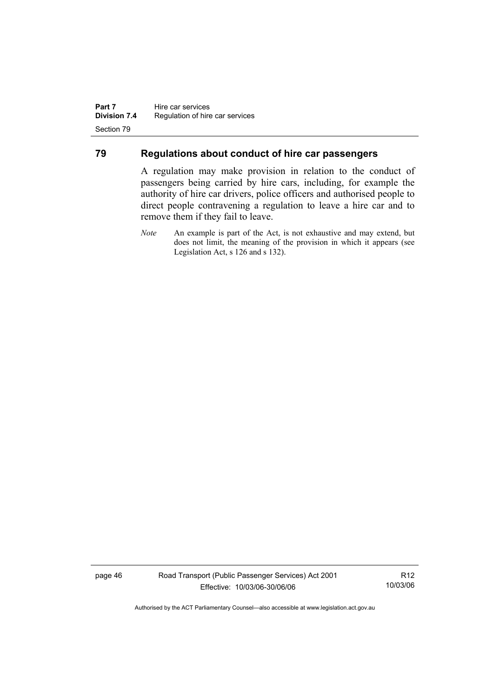### **79 Regulations about conduct of hire car passengers**

A regulation may make provision in relation to the conduct of passengers being carried by hire cars, including, for example the authority of hire car drivers, police officers and authorised people to direct people contravening a regulation to leave a hire car and to remove them if they fail to leave.

page 46 Road Transport (Public Passenger Services) Act 2001 Effective: 10/03/06-30/06/06

R12 10/03/06

*Note* An example is part of the Act, is not exhaustive and may extend, but does not limit, the meaning of the provision in which it appears (see Legislation Act, s 126 and s 132).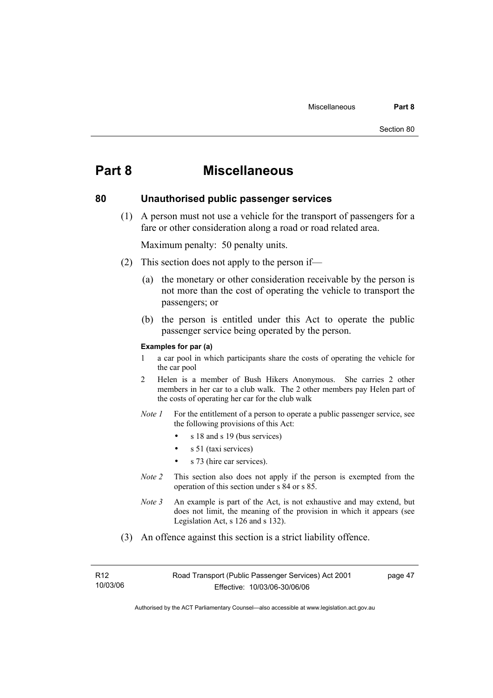# **Part 8 Miscellaneous**

## **80 Unauthorised public passenger services**

 (1) A person must not use a vehicle for the transport of passengers for a fare or other consideration along a road or road related area.

Maximum penalty: 50 penalty units.

- (2) This section does not apply to the person if—
	- (a) the monetary or other consideration receivable by the person is not more than the cost of operating the vehicle to transport the passengers; or
	- (b) the person is entitled under this Act to operate the public passenger service being operated by the person.

#### **Examples for par (a)**

- 1 a car pool in which participants share the costs of operating the vehicle for the car pool
- 2 Helen is a member of Bush Hikers Anonymous. She carries 2 other members in her car to a club walk. The 2 other members pay Helen part of the costs of operating her car for the club walk
- *Note 1* For the entitlement of a person to operate a public passenger service, see the following provisions of this Act:
	- s 18 and s 19 (bus services)
	- s 51 (taxi services)
	- s 73 (hire car services).
- *Note 2* This section also does not apply if the person is exempted from the operation of this section under s 84 or s 85.
- *Note 3* An example is part of the Act, is not exhaustive and may extend, but does not limit, the meaning of the provision in which it appears (see Legislation Act, s 126 and s 132).
- (3) An offence against this section is a strict liability offence.

R12 10/03/06 page 47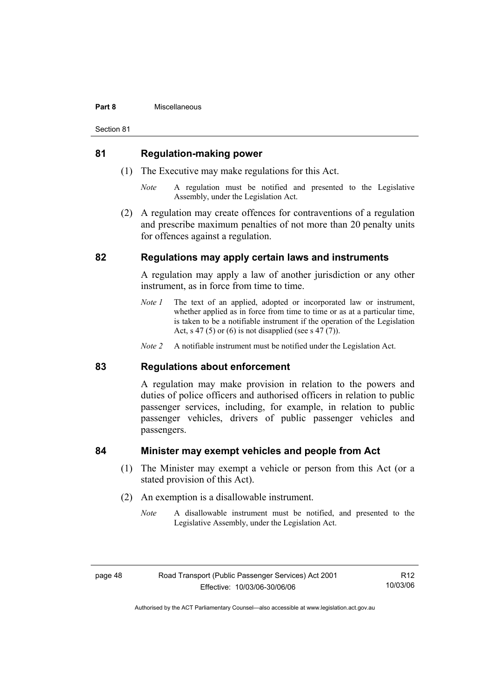#### **Part 8** Miscellaneous

Section 81

### **81 Regulation-making power**

- (1) The Executive may make regulations for this Act.
	- *Note* A regulation must be notified and presented to the Legislative Assembly, under the Legislation Act.
- (2) A regulation may create offences for contraventions of a regulation and prescribe maximum penalties of not more than 20 penalty units for offences against a regulation.

### **82 Regulations may apply certain laws and instruments**

A regulation may apply a law of another jurisdiction or any other instrument, as in force from time to time.

- *Note 1* The text of an applied, adopted or incorporated law or instrument, whether applied as in force from time to time or as at a particular time, is taken to be a notifiable instrument if the operation of the Legislation Act, s 47 (5) or (6) is not disapplied (see s 47 (7)).
- *Note 2* A notifiable instrument must be notified under the Legislation Act.

### **83 Regulations about enforcement**

A regulation may make provision in relation to the powers and duties of police officers and authorised officers in relation to public passenger services, including, for example, in relation to public passenger vehicles, drivers of public passenger vehicles and passengers.

### **84 Minister may exempt vehicles and people from Act**

- (1) The Minister may exempt a vehicle or person from this Act (or a stated provision of this Act).
- (2) An exemption is a disallowable instrument.
	- *Note* A disallowable instrument must be notified, and presented to the Legislative Assembly, under the Legislation Act.

R12 10/03/06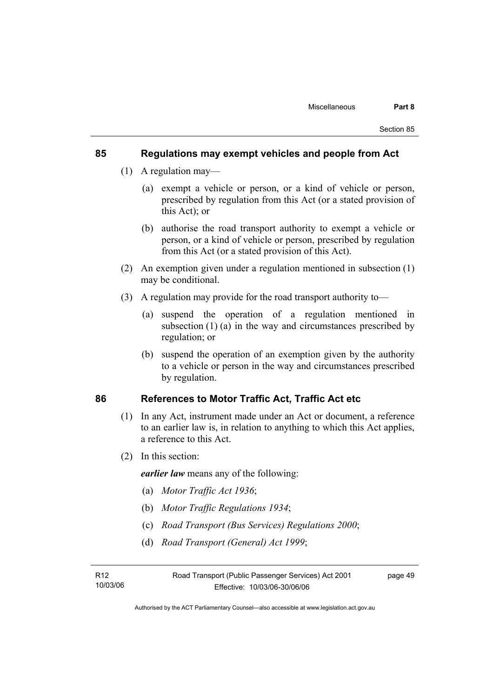### **85 Regulations may exempt vehicles and people from Act**

- (1) A regulation may—
	- (a) exempt a vehicle or person, or a kind of vehicle or person, prescribed by regulation from this Act (or a stated provision of this Act); or
	- (b) authorise the road transport authority to exempt a vehicle or person, or a kind of vehicle or person, prescribed by regulation from this Act (or a stated provision of this Act).
- (2) An exemption given under a regulation mentioned in subsection (1) may be conditional.
- (3) A regulation may provide for the road transport authority to—
	- (a) suspend the operation of a regulation mentioned in subsection (1) (a) in the way and circumstances prescribed by regulation; or
	- (b) suspend the operation of an exemption given by the authority to a vehicle or person in the way and circumstances prescribed by regulation.

### **86 References to Motor Traffic Act, Traffic Act etc**

- (1) In any Act, instrument made under an Act or document, a reference to an earlier law is, in relation to anything to which this Act applies, a reference to this Act.
- (2) In this section:

*earlier law* means any of the following:

- (a) *Motor Traffic Act 1936*;
- (b) *Motor Traffic Regulations 1934*;
- (c) *Road Transport (Bus Services) Regulations 2000*;
- (d) *Road Transport (General) Act 1999*;

Authorised by the ACT Parliamentary Counsel—also accessible at www.legislation.act.gov.au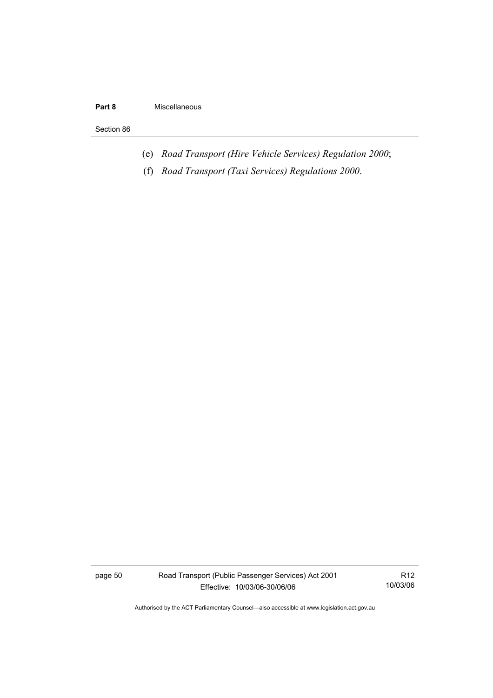### **Part 8** Miscellaneous

#### Section 86

- (e) *Road Transport (Hire Vehicle Services) Regulation 2000*;
- (f) *Road Transport (Taxi Services) Regulations 2000*.

page 50 Road Transport (Public Passenger Services) Act 2001 Effective: 10/03/06-30/06/06

R12 10/03/06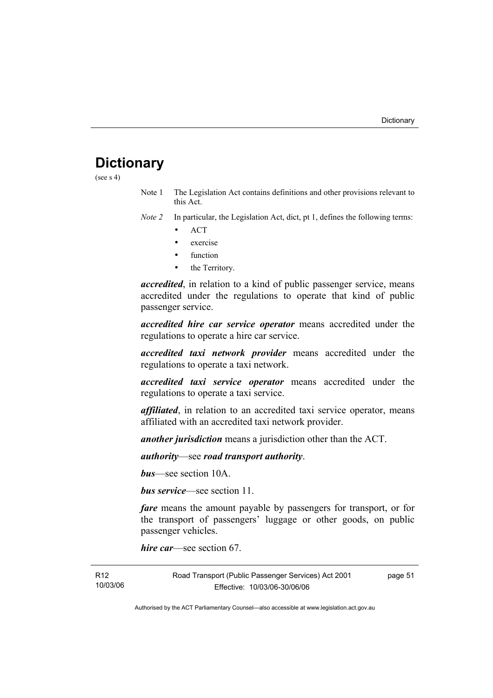# **Dictionary**

(see  $s$  4)

- Note 1 The Legislation Act contains definitions and other provisions relevant to this Act.
- *Note 2* In particular, the Legislation Act, dict, pt 1, defines the following terms:
	- ACT
	- exercise
	- function
	- the Territory.

*accredited*, in relation to a kind of public passenger service, means accredited under the regulations to operate that kind of public passenger service.

*accredited hire car service operator* means accredited under the regulations to operate a hire car service.

*accredited taxi network provider* means accredited under the regulations to operate a taxi network.

*accredited taxi service operator* means accredited under the regulations to operate a taxi service.

*affiliated*, in relation to an accredited taxi service operator, means affiliated with an accredited taxi network provider.

*another jurisdiction* means a jurisdiction other than the ACT.

*authority*—see *road transport authority*.

*bus*—see section 10A.

*bus service*—see section 11.

*fare* means the amount payable by passengers for transport, or for the transport of passengers' luggage or other goods, on public passenger vehicles.

*hire car*—see section 67.

R12 10/03/06 Road Transport (Public Passenger Services) Act 2001 Effective: 10/03/06-30/06/06 page 51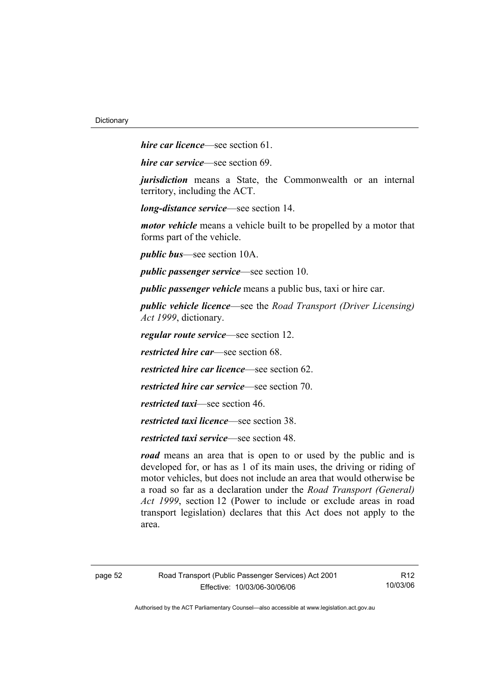*hire car licence*—see section 61.

*hire car service*—see section 69.

*jurisdiction* means a State, the Commonwealth or an internal territory, including the ACT.

*long-distance service*—see section 14.

*motor vehicle* means a vehicle built to be propelled by a motor that forms part of the vehicle.

*public bus*—see section 10A.

*public passenger service*—see section 10.

*public passenger vehicle* means a public bus, taxi or hire car.

*public vehicle licence*—see the *Road Transport (Driver Licensing) Act 1999*, dictionary.

*regular route service*—see section 12.

*restricted hire car*—see section 68.

*restricted hire car licence*—see section 62.

*restricted hire car service*—see section 70.

*restricted taxi*—see section 46.

*restricted taxi licence*—see section 38.

*restricted taxi service*—see section 48.

*road* means an area that is open to or used by the public and is developed for, or has as 1 of its main uses, the driving or riding of motor vehicles, but does not include an area that would otherwise be a road so far as a declaration under the *Road Transport (General) Act 1999*, section 12 (Power to include or exclude areas in road transport legislation) declares that this Act does not apply to the area.

R12 10/03/06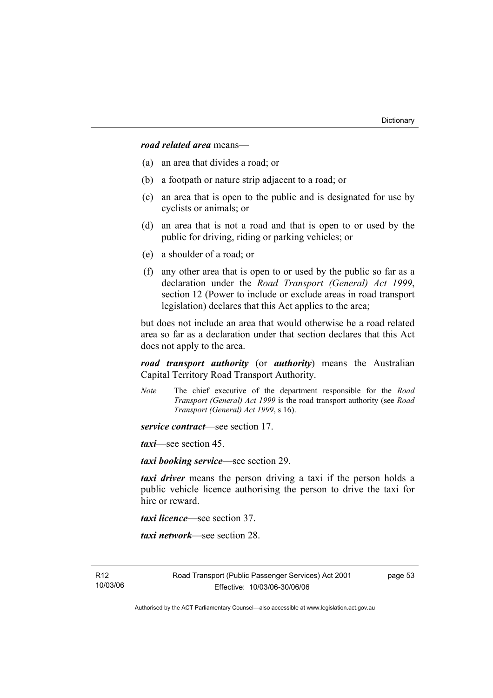*road related area* means—

- (a) an area that divides a road; or
- (b) a footpath or nature strip adjacent to a road; or
- (c) an area that is open to the public and is designated for use by cyclists or animals; or
- (d) an area that is not a road and that is open to or used by the public for driving, riding or parking vehicles; or
- (e) a shoulder of a road; or
- (f) any other area that is open to or used by the public so far as a declaration under the *Road Transport (General) Act 1999*, section 12 (Power to include or exclude areas in road transport legislation) declares that this Act applies to the area;

but does not include an area that would otherwise be a road related area so far as a declaration under that section declares that this Act does not apply to the area.

*road transport authority* (or *authority*) means the Australian Capital Territory Road Transport Authority.

*Note* The chief executive of the department responsible for the *Road Transport (General) Act 1999* is the road transport authority (see *Road Transport (General) Act 1999*, s 16).

*service contract*—see section 17.

*taxi*—see section 45.

*taxi booking service*—see section 29.

*taxi driver* means the person driving a taxi if the person holds a public vehicle licence authorising the person to drive the taxi for hire or reward.

*taxi licence*—see section 37.

*taxi network*—see section 28.

page 53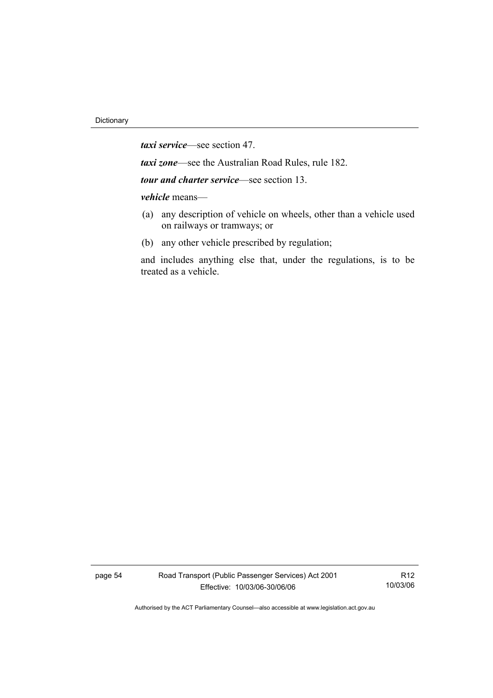*taxi service*—see section 47.

*taxi zone*—see the Australian Road Rules, rule 182.

*tour and charter service*—see section 13.

*vehicle* means—

- (a) any description of vehicle on wheels, other than a vehicle used on railways or tramways; or
- (b) any other vehicle prescribed by regulation;

and includes anything else that, under the regulations, is to be treated as a vehicle.

page 54 Road Transport (Public Passenger Services) Act 2001 Effective: 10/03/06-30/06/06

R12 10/03/06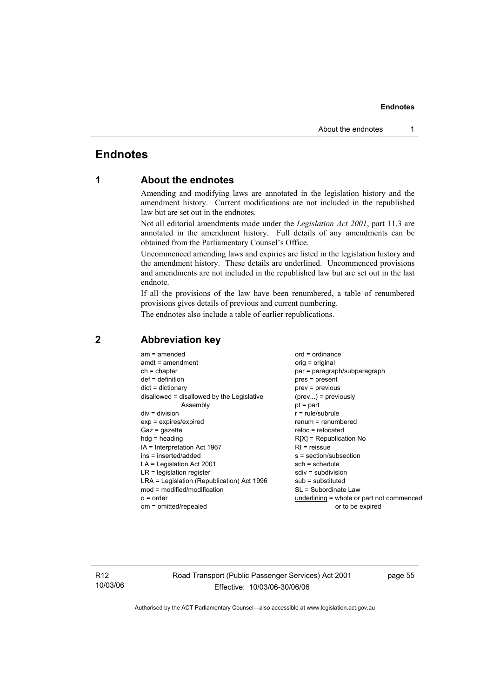# **Endnotes**

### **1 About the endnotes**

Amending and modifying laws are annotated in the legislation history and the amendment history. Current modifications are not included in the republished law but are set out in the endnotes.

Not all editorial amendments made under the *Legislation Act 2001*, part 11.3 are annotated in the amendment history. Full details of any amendments can be obtained from the Parliamentary Counsel's Office.

Uncommenced amending laws and expiries are listed in the legislation history and the amendment history. These details are underlined. Uncommenced provisions and amendments are not included in the republished law but are set out in the last endnote.

If all the provisions of the law have been renumbered, a table of renumbered provisions gives details of previous and current numbering.

The endnotes also include a table of earlier republications.

| $am = amended$<br>$amdt = amendment$<br>$ch = chapter$<br>$def = definition$<br>$dict = dictionary$<br>disallowed = disallowed by the Legislative<br>Assembly<br>$div = division$<br>$exp = expires/expired$<br>$Gaz = gazette$<br>$h dq =$ heading<br>IA = Interpretation Act 1967<br>ins = inserted/added<br>$LA =$ Legislation Act 2001 | $ord = ordinance$<br>orig = original<br>par = paragraph/subparagraph<br>pres = present<br>prev = previous<br>$(\text{prev}) = \text{previously}$<br>$pt = part$<br>$r = rule/subrule$<br>renum = renumbered<br>$reloc = relocated$<br>$R[X]$ = Republication No<br>$RI =$ reissue<br>s = section/subsection<br>$sch = schedule$<br>$sdiv = subdivision$ |
|--------------------------------------------------------------------------------------------------------------------------------------------------------------------------------------------------------------------------------------------------------------------------------------------------------------------------------------------|---------------------------------------------------------------------------------------------------------------------------------------------------------------------------------------------------------------------------------------------------------------------------------------------------------------------------------------------------------|
|                                                                                                                                                                                                                                                                                                                                            |                                                                                                                                                                                                                                                                                                                                                         |
| $LR =$ legislation register<br>LRA = Legislation (Republication) Act 1996                                                                                                                                                                                                                                                                  | $sub =$ substituted                                                                                                                                                                                                                                                                                                                                     |
| $mod = modified/modification$<br>$o = order$<br>om = omitted/repealed                                                                                                                                                                                                                                                                      | SL = Subordinate Law<br>underlining = whole or part not commenced<br>or to be expired                                                                                                                                                                                                                                                                   |

### **2 Abbreviation key**

R12 10/03/06 Road Transport (Public Passenger Services) Act 2001 Effective: 10/03/06-30/06/06

page 55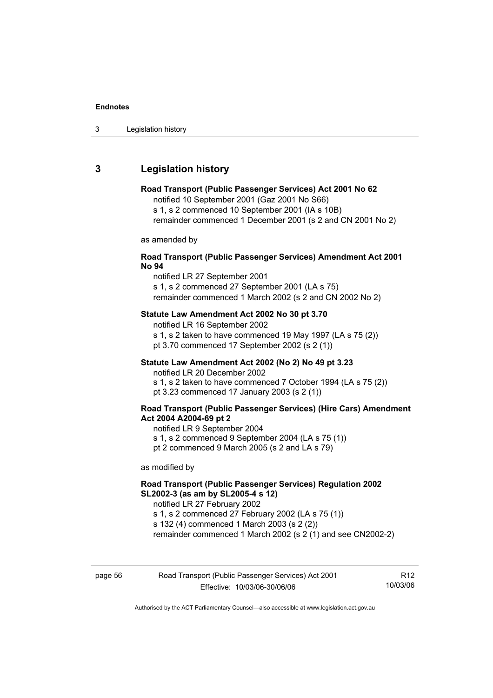### **3 Legislation history**

#### **Road Transport (Public Passenger Services) Act 2001 No 62**

notified 10 September 2001 (Gaz 2001 No S66) s 1, s 2 commenced 10 September 2001 (IA s 10B)

remainder commenced 1 December 2001 (s 2 and CN 2001 No 2)

as amended by

### **Road Transport (Public Passenger Services) Amendment Act 2001 No 94**

notified LR 27 September 2001 s 1, s 2 commenced 27 September 2001 (LA s 75)

remainder commenced 1 March 2002 (s 2 and CN 2002 No 2)

### **Statute Law Amendment Act 2002 No 30 pt 3.70**

notified LR 16 September 2002 s 1, s 2 taken to have commenced 19 May 1997 (LA s 75 (2)) pt 3.70 commenced 17 September 2002 (s 2 (1))

### **Statute Law Amendment Act 2002 (No 2) No 49 pt 3.23**

notified LR 20 December 2002

s 1, s 2 taken to have commenced 7 October 1994 (LA s 75 (2)) pt 3.23 commenced 17 January 2003 (s 2 (1))

### **Road Transport (Public Passenger Services) (Hire Cars) Amendment Act 2004 A2004-69 pt 2**

notified LR 9 September 2004

s 1, s 2 commenced 9 September 2004 (LA s 75 (1))

pt 2 commenced 9 March 2005 (s 2 and LA s 79)

as modified by

### **Road Transport (Public Passenger Services) Regulation 2002 SL2002-3 (as am by SL2005-4 s 12)**

notified LR 27 February 2002

s 1, s 2 commenced 27 February 2002 (LA s 75 (1)) s 132 (4) commenced 1 March 2003 (s 2 (2))

remainder commenced 1 March 2002 (s 2 (1) and see CN2002-2)

| page 56 | Road Transport (Public Passenger Services) Act 2001 | R <sub>12</sub> |
|---------|-----------------------------------------------------|-----------------|
|         | Effective: 10/03/06-30/06/06                        | 10/03/06        |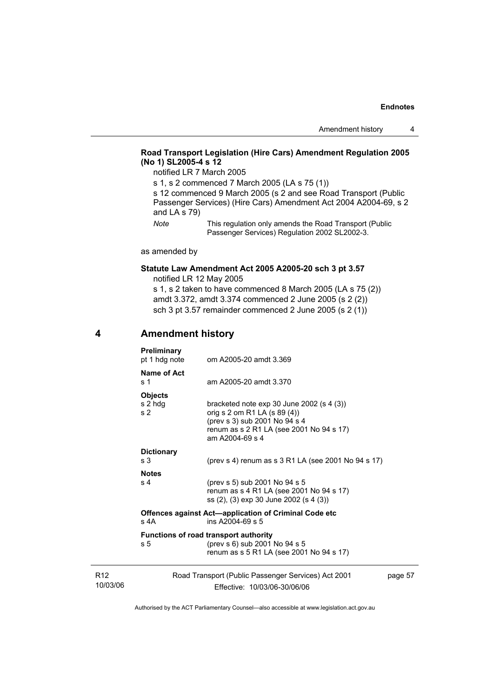### **Road Transport Legislation (Hire Cars) Amendment Regulation 2005 (No 1) SL2005-4 s 12**

notified LR 7 March 2005

s 1, s 2 commenced 7 March 2005 (LA s 75 (1)) s 12 commenced 9 March 2005 (s 2 and see Road Transport (Public Passenger Services) (Hire Cars) Amendment Act 2004 A2004-69, s 2 and LA s 79) *Note* This regulation only amends the Road Transport (Public

Passenger Services) Regulation 2002 SL2002-3.

as amended by

### **Statute Law Amendment Act 2005 A2005-20 sch 3 pt 3.57**  notified LR 12 May 2005

s 1, s 2 taken to have commenced 8 March 2005 (LA s 75 (2)) amdt 3.372, amdt 3.374 commenced 2 June 2005 (s 2 (2)) sch 3 pt 3.57 remainder commenced 2 June 2005 (s 2 (1))

### **4 Amendment history**

R12 10/03/06

| <b>Preliminary</b><br>pt 1 hdg note         | om A2005-20 amdt 3.369                                                                                                                                                      |         |
|---------------------------------------------|-----------------------------------------------------------------------------------------------------------------------------------------------------------------------------|---------|
| Name of Act<br>s 1                          | am A2005-20 amdt 3.370                                                                                                                                                      |         |
| <b>Objects</b><br>s 2 hdg<br>s <sub>2</sub> | bracketed note $exp 30$ June 2002 (s 4 (3))<br>orig s 2 om R1 LA (s 89 (4))<br>(prev s 3) sub 2001 No 94 s 4<br>renum as s 2 R1 LA (see 2001 No 94 s 17)<br>am A2004-69 s 4 |         |
| <b>Dictionary</b><br>s 3                    | (prev s 4) renum as s $3$ R1 LA (see 2001 No 94 s 17)                                                                                                                       |         |
| <b>Notes</b>                                |                                                                                                                                                                             |         |
| s 4                                         | (prev s 5) sub 2001 No 94 s 5<br>renum as s 4 R1 LA (see 2001 No 94 s 17)<br>ss (2), (3) exp 30 June 2002 (s 4 (3))                                                         |         |
| $s$ 4A                                      | <b>Offences against Act—application of Criminal Code etc</b><br>ins $A2004-69$ s 5                                                                                          |         |
| s 5                                         | <b>Functions of road transport authority</b><br>(prev s 6) sub 2001 No 94 s 5<br>renum as s 5 R1 LA (see 2001 No 94 s 17)                                                   |         |
|                                             | Road Transport (Public Passenger Services) Act 2001<br>Effective: 10/03/06-30/06/06                                                                                         | page 57 |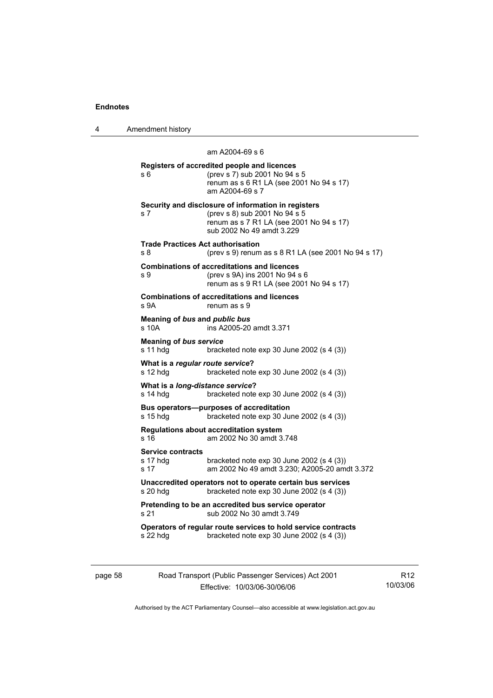4 Amendment history

 am A2004-69 s 6 **Registers of accredited people and licences**  s 6 (prev s 7) sub 2001 No 94 s 5 renum as s 6 R1 LA (see 2001 No 94 s 17) am A2004-69 s 7 **Security and disclosure of information in registers**  s 7 (prev s 8) sub 2001 No 94 s 5 renum as s 7 R1 LA (see 2001 No 94 s 17) sub 2002 No 49 amdt 3.229 **Trade Practices Act authorisation**  s 8 (prev s 9) renum as s 8 R1 LA (see 2001 No 94 s 17) **Combinations of accreditations and licences**  s 9 (prev s 9A) ins 2001 No 94 s 6 renum as s 9 R1 LA (see 2001 No 94 s 17) **Combinations of accreditations and licences**  s 9A renum as s 9 **Meaning of** *bus* **and** *public bus* s 10A ins A2005-20 amdt 3.371 **Meaning of** *bus service*<br>s 11 hdg brack bracketed note exp 30 June 2002 (s  $4$  (3)) **What is a** *regular route service***?**  s 12 hdg bracketed note exp 30 June 2002 (s 4 (3)) **What is a** *long-distance service***?**  s 14 hdg bracketed note exp 30 June 2002 (s 4 (3)) **Bus operators—purposes of accreditation**  s 15 hdg bracketed note exp 30 June 2002 (s 4 (3)) **Regulations about accreditation system**  s 16 am 2002 No 30 amdt 3.748 **Service contracts**  s 17 hdg bracketed note exp 30 June 2002 (s 4 (3))<br>s 17 am 2002 No 49 amdt 3.230: A2005-20 am s 17 am 2002 No 49 amdt 3.230; A2005-20 amdt 3.372 **Unaccredited operators not to operate certain bus services**  s 20 hdg bracketed note exp 30 June 2002 (s 4 (3)) **Pretending to be an accredited bus service operator**  s 21 sub 2002 No 30 amdt 3.749 **Operators of regular route services to hold service contracts**  s 22 hdg bracketed note exp 30 June 2002 (s 4 (3))

| page 58 | Road Transport (Public Passenger Services) Act 2001 | R <sub>12</sub> |
|---------|-----------------------------------------------------|-----------------|
|         | Effective: 10/03/06-30/06/06                        | 10/03/06        |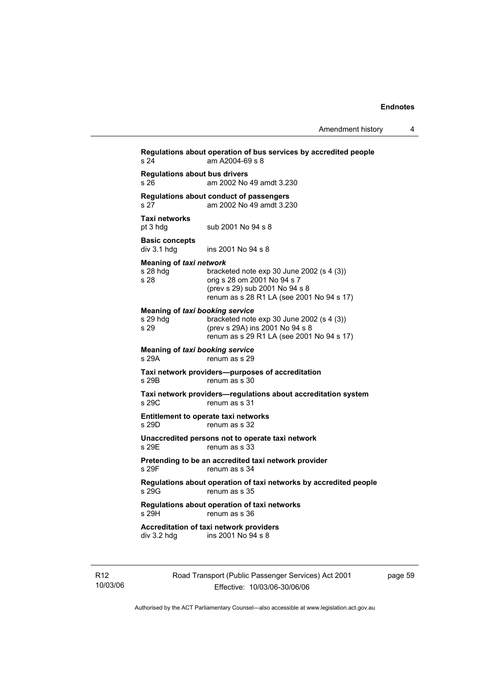| s 24                                                       | am A2004-69 s 8                                                                                                                                         |
|------------------------------------------------------------|---------------------------------------------------------------------------------------------------------------------------------------------------------|
| <b>Regulations about bus drivers</b><br>s <sub>26</sub>    | am 2002 No 49 amdt 3.230                                                                                                                                |
| s 27                                                       | Regulations about conduct of passengers<br>am 2002 No 49 amdt 3.230                                                                                     |
| <b>Taxi networks</b><br>pt 3 hdg                           | sub 2001 No 94 s 8                                                                                                                                      |
| <b>Basic concepts</b><br>div 3.1 hdg                       | ins 2001 No 94 s 8                                                                                                                                      |
| Meaning of taxi network<br>s 28 hdg<br>s 28                | bracketed note exp 30 June 2002 (s 4 (3))<br>orig s 28 om 2001 No 94 s 7<br>(prev s 29) sub 2001 No 94 s 8<br>renum as s 28 R1 LA (see 2001 No 94 s 17) |
| <b>Meaning of taxi booking service</b><br>s 29 hdg<br>s 29 | bracketed note exp 30 June 2002 (s 4 (3))<br>(prev s 29A) ins 2001 No 94 s 8<br>renum as s 29 R1 LA (see 2001 No 94 s 17)                               |
| <b>Meaning of taxi booking service</b><br>s 29A            | renum as s 29                                                                                                                                           |
| s 29B                                                      | Taxi network providers--purposes of accreditation<br>renum as s 30                                                                                      |
| s 29C                                                      | Taxi network providers—regulations about accreditation system<br>renum as s 31                                                                          |
| s 29D                                                      | Entitlement to operate taxi networks<br>renum as s 32                                                                                                   |
| s 29E                                                      | Unaccredited persons not to operate taxi network<br>renum as s 33                                                                                       |
| s 29F                                                      | Pretending to be an accredited taxi network provider<br>renum as s 34                                                                                   |
| s 29G                                                      | Regulations about operation of taxi networks by accredited people<br>renum as s 35                                                                      |
| s 29H                                                      | Regulations about operation of taxi networks<br>renum as s 36                                                                                           |
| $div$ 3.2 hdg                                              | <b>Accreditation of taxi network providers</b><br>ins 2001 No 94 s 8                                                                                    |

R12 10/03/06 Road Transport (Public Passenger Services) Act 2001 Effective: 10/03/06-30/06/06

page 59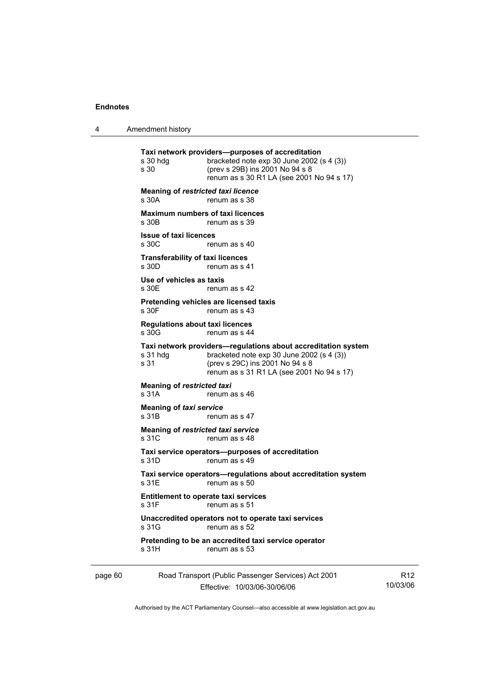|  | Amendment history |
|--|-------------------|
|--|-------------------|

|         | s 30 hdg<br>s 30                                   | Taxi network providers--purposes of accreditation<br>bracketed note exp 30 June 2002 (s 4 (3))<br>(prev s 29B) ins 2001 No 94 s 8<br>renum as s 30 R1 LA (see 2001 No 94 s 17)             |   |
|---------|----------------------------------------------------|--------------------------------------------------------------------------------------------------------------------------------------------------------------------------------------------|---|
|         | <b>Meaning of restricted taxi licence</b><br>s 30A | renum as s 38                                                                                                                                                                              |   |
|         | s 30B                                              | <b>Maximum numbers of taxi licences</b><br>renum as s 39                                                                                                                                   |   |
|         | <b>Issue of taxi licences</b><br>s 30C             | renum as s 40                                                                                                                                                                              |   |
|         | <b>Transferability of taxi licences</b><br>s 30D   | renum as s 41                                                                                                                                                                              |   |
|         | Use of vehicles as taxis<br>s 30E                  | renum as s 42                                                                                                                                                                              |   |
|         | s 30F                                              | Pretending vehicles are licensed taxis<br>renum as s 43                                                                                                                                    |   |
|         | <b>Requlations about taxi licences</b><br>s 30G    | renum as s 44                                                                                                                                                                              |   |
|         | s 31 hdg<br>s 31                                   | Taxi network providers—regulations about accreditation system<br>bracketed note exp 30 June 2002 (s 4 (3))<br>(prev s 29C) ins 2001 No 94 s 8<br>renum as s 31 R1 LA (see 2001 No 94 s 17) |   |
|         | <b>Meaning of restricted taxi</b><br>s 31A         | renum as s 46                                                                                                                                                                              |   |
|         | Meaning of taxi service<br>s 31B                   | renum as s 47                                                                                                                                                                              |   |
|         | Meaning of restricted taxi service<br>s 31C        | renum as s 48                                                                                                                                                                              |   |
|         | s 31D                                              | Taxi service operators-purposes of accreditation<br>renum as s 49                                                                                                                          |   |
|         | s 31E                                              | Taxi service operators—regulations about accreditation system<br>renum as s 50                                                                                                             |   |
|         | s 31F                                              | <b>Entitlement to operate taxi services</b><br>renum as s 51                                                                                                                               |   |
|         | s 31G                                              | Unaccredited operators not to operate taxi services<br>renum as s 52                                                                                                                       |   |
|         | s 31H                                              | Pretending to be an accredited taxi service operator<br>renum as s 53                                                                                                                      |   |
| page 60 |                                                    | Road Transport (Public Passenger Services) Act 2001                                                                                                                                        | F |

Effective: 10/03/06-30/06/06

R12 10/03/06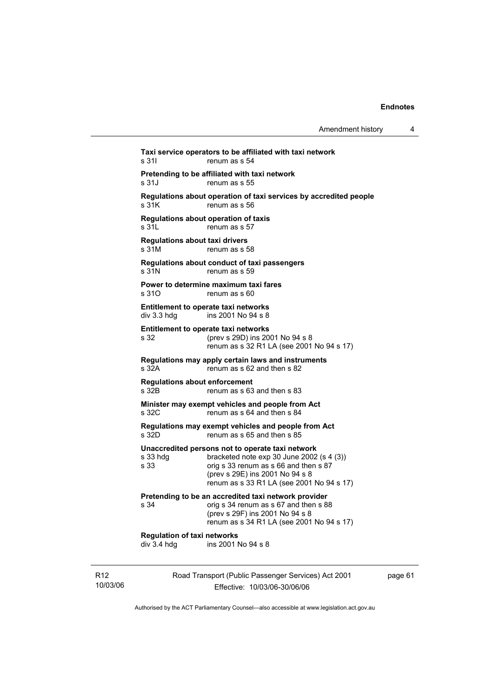| Amendment history |  |
|-------------------|--|
|-------------------|--|

Road Transport (Public Passenger Services) Act 2001 **Taxi service operators to be affiliated with taxi network**  s 31I renum as s 54 **Pretending to be affiliated with taxi network**  renum as s 55 **Regulations about operation of taxi services by accredited people**  renum as s 56 **Regulations about operation of taxis**  s 31L renum as s 57 **Regulations about taxi drivers**  s 31M renum as s 58 **Regulations about conduct of taxi passengers**  s 31N renum as s 59 **Power to determine maximum taxi fares**  s 31O renum as s 60 **Entitlement to operate taxi networks**   $div 3.3$  hdg ins 2001 No 94 s 8 **Entitlement to operate taxi networks**  s 32 (prev s 29D) ins 2001 No 94 s 8 renum as s 32 R1 LA (see 2001 No 94 s 17) **Regulations may apply certain laws and instruments**   $\frac{1}{2}$  renum as s 62 and then s 82 **Regulations about enforcement**  s 32B renum as s 63 and then s 83 **Minister may exempt vehicles and people from Act**   $\frac{1}{2}$  renum as s 64 and then s 84 **Regulations may exempt vehicles and people from Act**  s 32D renum as s 65 and then s 85 **Unaccredited persons not to operate taxi network**  s 33 hdg bracketed note exp 30 June 2002 (s 4 (3)) s 33 orig s 33 renum as s 66 and then s 87 (prev s 29E) ins 2001 No 94 s 8 renum as s 33 R1 LA (see 2001 No 94 s 17) **Pretending to be an accredited taxi network provider**  s 34 orig s 34 renum as s 67 and then s 88 (prev s 29F) ins 2001 No 94 s 8 renum as s 34 R1 LA (see 2001 No 94 s 17) **Regulation of taxi networks**  div 3.4 hdg ins 2001 No 94 s 8

page 61

Authorised by the ACT Parliamentary Counsel—also accessible at www.legislation.act.gov.au

Effective: 10/03/06-30/06/06

R12 10/03/06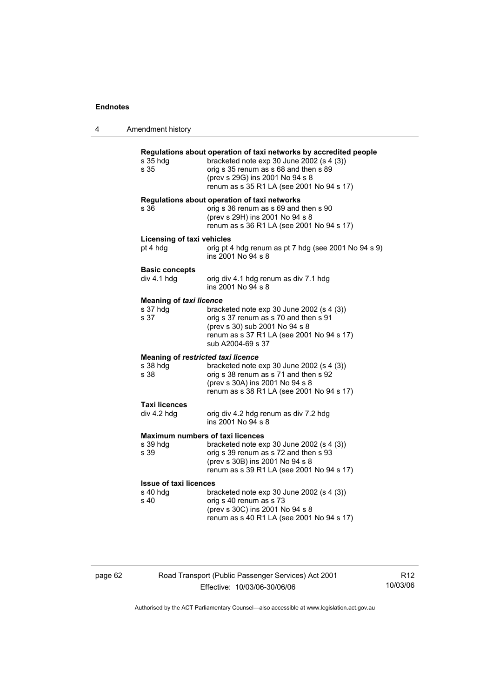| 4 | Amendment history                                      |                                                                                                                                                                                                                                         |
|---|--------------------------------------------------------|-----------------------------------------------------------------------------------------------------------------------------------------------------------------------------------------------------------------------------------------|
|   | s 35 hdg<br>s 35                                       | Regulations about operation of taxi networks by accredited people<br>bracketed note exp 30 June 2002 (s 4 (3))<br>orig s 35 renum as s 68 and then s 89<br>(prev s 29G) ins 2001 No 94 s 8<br>renum as s 35 R1 LA (see 2001 No 94 s 17) |
|   | s 36                                                   | Regulations about operation of taxi networks<br>orig s 36 renum as s 69 and then s 90<br>(prev s 29H) ins 2001 No 94 s 8<br>renum as s 36 R1 LA (see 2001 No 94 s 17)                                                                   |
|   | <b>Licensing of taxi vehicles</b><br>pt 4 hdg          | orig pt 4 hdg renum as pt 7 hdg (see 2001 No 94 s 9)<br>ins 2001 No 94 s 8                                                                                                                                                              |
|   | <b>Basic concepts</b><br>div 4.1 hdg                   | orig div 4.1 hdg renum as div 7.1 hdg<br>ins 2001 No 94 s 8                                                                                                                                                                             |
|   | <b>Meaning of taxi licence</b><br>s 37 hdg<br>s 37     | bracketed note $exp 30$ June 2002 (s 4 (3))<br>orig s 37 renum as s 70 and then s 91<br>(prev s 30) sub 2001 No 94 s 8<br>renum as s 37 R1 LA (see 2001 No 94 s 17)<br>sub A2004-69 s 37                                                |
|   | Meaning of restricted taxi licence<br>s 38 hdg<br>s 38 | bracketed note exp 30 June 2002 (s 4 (3))<br>orig s 38 renum as s 71 and then s 92<br>(prev s 30A) ins 2001 No 94 s 8<br>renum as s 38 R1 LA (see 2001 No 94 s 17)                                                                      |
|   | <b>Taxi licences</b><br>div 4.2 hdg                    | orig div 4.2 hdg renum as div 7.2 hdg<br>ins 2001 No 94 s 8                                                                                                                                                                             |
|   | s 39 hdg<br>s 39                                       | <b>Maximum numbers of taxi licences</b><br>bracketed note exp 30 June 2002 (s 4 (3))<br>orig s 39 renum as s 72 and then s 93<br>(prev s 30B) ins 2001 No 94 s 8<br>renum as s 39 R1 LA (see 2001 No 94 s 17)                           |
|   | <b>Issue of taxi licences</b><br>s 40 hdg<br>s 40      | bracketed note $exp 30$ June 2002 (s 4 (3))<br>orig s 40 renum as s 73<br>(prev s 30C) ins 2001 No 94 s 8<br>renum as s 40 R1 LA (see 2001 No 94 s 17)                                                                                  |

page 62 Road Transport (Public Passenger Services) Act 2001 Effective: 10/03/06-30/06/06

R12 10/03/06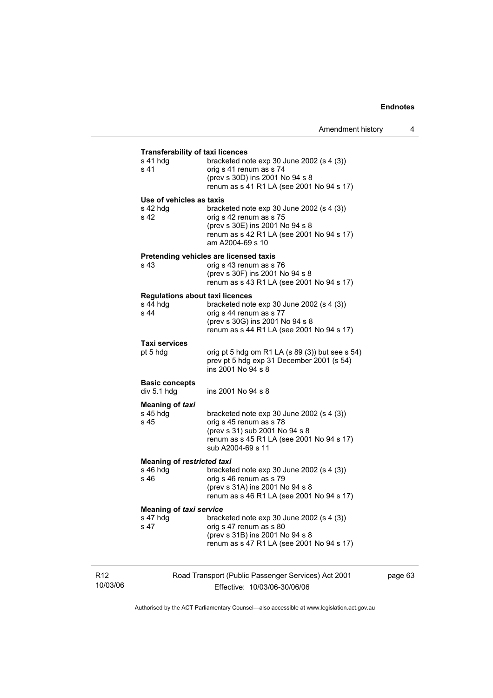| s 41 hdg                          | bracketed note $exp 30$ June 2002 (s 4 (3))                                 |
|-----------------------------------|-----------------------------------------------------------------------------|
| s 41                              | orig s 41 renum as s 74                                                     |
|                                   | (prev s 30D) ins 2001 No 94 s 8                                             |
|                                   | renum as s 41 R1 LA (see 2001 No 94 s 17)                                   |
| Use of vehicles as taxis          |                                                                             |
| s 42 hdg                          | bracketed note $exp 30$ June 2002 (s 4 (3))                                 |
| s 42                              | orig s 42 renum as s 75                                                     |
|                                   | (prev s 30E) ins 2001 No 94 s 8                                             |
|                                   | renum as s 42 R1 LA (see 2001 No 94 s 17)<br>am A2004-69 s 10               |
|                                   |                                                                             |
| s 43                              | Pretending vehicles are licensed taxis<br>orig s 43 renum as s 76           |
|                                   | (prev s 30F) ins 2001 No 94 s 8                                             |
|                                   | renum as s 43 R1 LA (see 2001 No 94 s 17)                                   |
|                                   | <b>Regulations about taxi licences</b>                                      |
| s 44 hdq                          | bracketed note $exp 30$ June 2002 (s 4 (3))                                 |
| s 44                              | orig s 44 renum as s 77                                                     |
|                                   | (prev s 30G) ins 2001 No 94 s 8                                             |
|                                   | renum as s 44 R1 LA (see 2001 No 94 s 17)                                   |
| Taxi services                     |                                                                             |
| pt 5 hdg                          | orig pt 5 hdg om R1 LA $(s 89 (3))$ but see s 54)                           |
|                                   | prev pt 5 hdg exp 31 December 2001 (s 54)                                   |
|                                   | ins 2001 No 94 s 8                                                          |
| <b>Basic concepts</b>             |                                                                             |
| div 5.1 hdg                       | ins 2001 No 94 s 8                                                          |
| <b>Meaning of taxi</b>            |                                                                             |
| s 45 hdg                          | bracketed note $exp 30$ June 2002 (s 4 (3))                                 |
| s 45                              | orig s 45 renum as s 78                                                     |
|                                   | (prev s 31) sub 2001 No 94 s 8<br>renum as s 45 R1 LA (see 2001 No 94 s 17) |
|                                   | sub A2004-69 s 11                                                           |
| <b>Meaning of restricted taxi</b> |                                                                             |
| s 46 hdg                          | bracketed note $exp 30$ June 2002 (s 4 (3))                                 |
| s 46                              | orig s 46 renum as s 79                                                     |
|                                   | (prev s 31A) ins 2001 No 94 s 8                                             |
|                                   | renum as s 46 R1 LA (see 2001 No 94 s 17)                                   |
| Meaning of taxi service           |                                                                             |
| s 47 hdg                          | bracketed note $exp 30$ June 2002 (s 4 (3))                                 |
| s 47                              | orig s 47 renum as s 80                                                     |
|                                   | (prev s 31B) ins 2001 No 94 s 8                                             |
|                                   | renum as s 47 R1 LA (see 2001 No 94 s 17)                                   |

R12 10/03/06

Effective: 10/03/06-30/06/06

page 63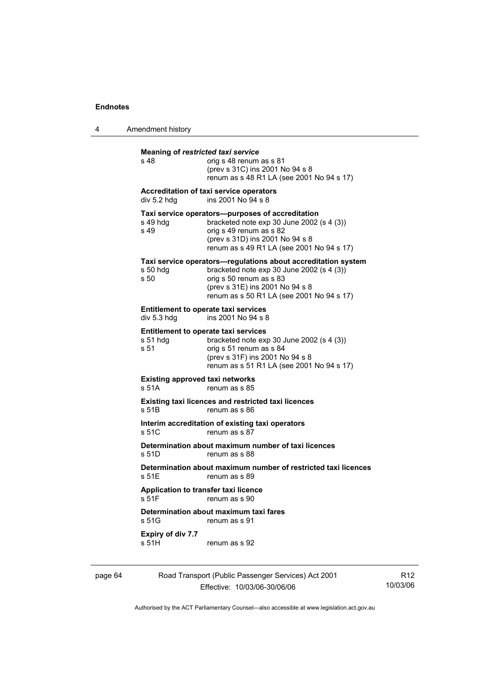|  | Amendment history |
|--|-------------------|
|--|-------------------|

| s 48                                            | orig s 48 renum as s 81<br>(prev s 31C) ins 2001 No 94 s 8<br>renum as s 48 R1 LA (see 2001 No 94 s 17)                                                                                                                 |
|-------------------------------------------------|-------------------------------------------------------------------------------------------------------------------------------------------------------------------------------------------------------------------------|
| div 5.2 hdg                                     | <b>Accreditation of taxi service operators</b><br>ins 2001 No 94 s 8                                                                                                                                                    |
| s 49 hdg<br>s 49                                | Taxi service operators-purposes of accreditation<br>bracketed note exp 30 June 2002 (s 4 (3))<br>orig s 49 renum as s 82<br>(prev s 31D) ins 2001 No 94 s 8<br>renum as s 49 R1 LA (see 2001 No 94 s 17)                |
| s 50 hdg<br>s 50                                | Taxi service operators-regulations about accreditation system<br>bracketed note $exp 30$ June 2002 (s 4 (3))<br>orig s 50 renum as s 83<br>(prev s 31E) ins 2001 No 94 s 8<br>renum as s 50 R1 LA (see 2001 No 94 s 17) |
| div 5.3 hdg                                     | <b>Entitlement to operate taxi services</b><br>ins 2001 No 94 s 8                                                                                                                                                       |
| s 51 hdq<br>s 51                                | <b>Entitlement to operate taxi services</b><br>bracketed note $exp 30$ June 2002 (s 4 (3))<br>orig s 51 renum as s 84<br>(prev s 31F) ins 2001 No 94 s 8<br>renum as s 51 R1 LA (see 2001 No 94 s 17)                   |
| <b>Existing approved taxi networks</b><br>s 51A | renum as s 85                                                                                                                                                                                                           |
| s 51B                                           | Existing taxi licences and restricted taxi licences<br>renum as s 86                                                                                                                                                    |
| s 51C                                           | Interim accreditation of existing taxi operators<br>renum as s 87                                                                                                                                                       |
| s 51D                                           | Determination about maximum number of taxi licences<br>renum as s 88                                                                                                                                                    |
| s 51E                                           | Determination about maximum number of restricted taxi licences<br>renum as s 89                                                                                                                                         |
| s 51F                                           | Application to transfer taxi licence<br>renum as s 90                                                                                                                                                                   |
| s 51G                                           | Determination about maximum taxi fares<br>renum as s 91                                                                                                                                                                 |
| Expiry of div 7.7<br>s 51H                      | renum as s 92                                                                                                                                                                                                           |

page 64 Road Transport (Public Passenger Services) Act 2001 Effective: 10/03/06-30/06/06

R12 10/03/06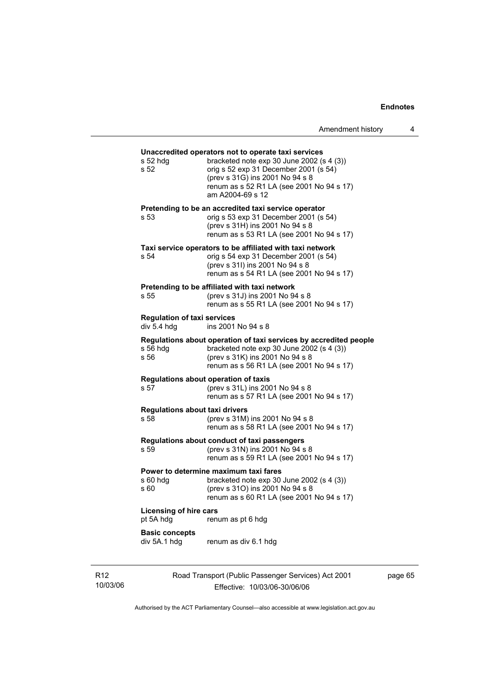| Amendment history |  |  |
|-------------------|--|--|
|-------------------|--|--|

|                                                   | Road Transport (Public Passenger Services) Act 2001                                                                                                                                                                                             | рa |
|---------------------------------------------------|-------------------------------------------------------------------------------------------------------------------------------------------------------------------------------------------------------------------------------------------------|----|
| <b>Basic concepts</b><br>div 5A.1 hdg             | renum as div 6.1 hdg                                                                                                                                                                                                                            |    |
| <b>Licensing of hire cars</b><br>pt 5A hdg        | renum as pt 6 hdg                                                                                                                                                                                                                               |    |
| s 60 hdg<br>s 60                                  | Power to determine maximum taxi fares<br>bracketed note $exp 30$ June 2002 (s 4 (3))<br>(prev s 310) ins 2001 No 94 s 8<br>renum as s 60 R1 LA (see 2001 No 94 s 17)                                                                            |    |
| s 59                                              | Regulations about conduct of taxi passengers<br>(prev s 31N) ins 2001 No 94 s 8<br>renum as s 59 R1 LA (see 2001 No 94 s 17)                                                                                                                    |    |
| <b>Regulations about taxi drivers</b><br>s 58     | (prev s 31M) ins 2001 No 94 s 8<br>renum as s 58 R1 LA (see 2001 No 94 s 17)                                                                                                                                                                    |    |
| s 57                                              | Regulations about operation of taxis<br>(prev s 31L) ins 2001 No 94 s 8<br>renum as s 57 R1 LA (see 2001 No 94 s 17)                                                                                                                            |    |
| s 56 hdg<br>s 56                                  | Regulations about operation of taxi services by accredited people<br>bracketed note exp 30 June 2002 (s 4 (3))<br>(prev s 31K) ins 2001 No 94 s 8<br>renum as s 56 R1 LA (see 2001 No 94 s 17)                                                  |    |
| <b>Regulation of taxi services</b><br>div 5.4 hdg | ins 2001 No 94 s 8                                                                                                                                                                                                                              |    |
| s 55                                              | Pretending to be affiliated with taxi network<br>(prev s 31J) ins 2001 No 94 s 8<br>renum as s 55 R1 LA (see 2001 No 94 s 17)                                                                                                                   |    |
| s 54                                              | Taxi service operators to be affiliated with taxi network<br>orig s 54 exp 31 December 2001 (s 54)<br>(prev s 31l) ins 2001 No 94 s 8<br>renum as s 54 R1 LA (see 2001 No 94 s 17)                                                              |    |
| s 53                                              | Pretending to be an accredited taxi service operator<br>orig s 53 exp 31 December 2001 (s 54)<br>(prev s 31H) ins 2001 No 94 s 8<br>renum as s 53 R1 LA (see 2001 No 94 s 17)                                                                   |    |
| s 52 hdg<br>s 52                                  | Unaccredited operators not to operate taxi services<br>bracketed note $exp 30$ June 2002 (s 4 (3))<br>orig s 52 exp 31 December 2001 (s 54)<br>(prev s 31G) ins 2001 No 94 s 8<br>renum as s 52 R1 LA (see 2001 No 94 s 17)<br>am A2004-69 s 12 |    |
|                                                   |                                                                                                                                                                                                                                                 |    |

R12 10/03/06

Effective: 10/03/06-30/06/06

page 65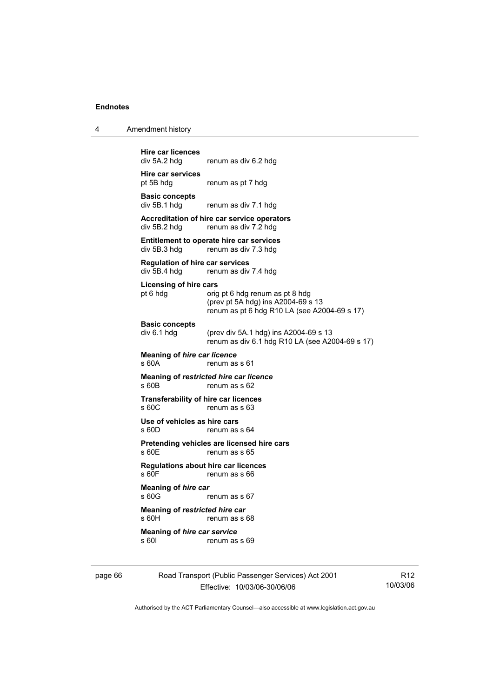| 4 | Amendment history |
|---|-------------------|
|---|-------------------|

| <b>Hire car licences</b><br>div 5A.2 hdg               | renum as div 6.2 hdg                                                                                                  |
|--------------------------------------------------------|-----------------------------------------------------------------------------------------------------------------------|
| <b>Hire car services</b><br>pt 5B hdg                  | renum as pt 7 hdg                                                                                                     |
| <b>Basic concepts</b><br>div 5B.1 hdg                  | renum as div 7.1 hdg                                                                                                  |
| div 5B.2 hdg                                           | Accreditation of hire car service operators<br>renum as div 7.2 hdg                                                   |
| div 5B.3 hdg                                           | <b>Entitlement to operate hire car services</b><br>renum as div 7.3 hdg                                               |
| <b>Regulation of hire car services</b><br>div 5B.4 hdg | renum as div 7.4 hdg                                                                                                  |
| <b>Licensing of hire cars</b><br>pt 6 hdg              | orig pt 6 hdg renum as pt 8 hdg<br>(prev pt 5A hdg) ins A2004-69 s 13<br>renum as pt 6 hdg R10 LA (see A2004-69 s 17) |
| <b>Basic concepts</b><br>div 6.1 hdg                   | (prev div 5A.1 hdg) ins A2004-69 s 13<br>renum as div 6.1 hdg R10 LA (see A2004-69 s 17)                              |
| <b>Meaning of hire car licence</b><br>$s$ 60A          | renum as s 61                                                                                                         |
| s 60B                                                  | Meaning of restricted hire car licence<br>renum as s 62                                                               |
| <b>Transferability of hire car licences</b><br>\$60C   | renum as s 63                                                                                                         |
| Use of vehicles as hire cars<br>s 60D                  | renum as s 64                                                                                                         |
| s 60E                                                  | Pretending vehicles are licensed hire cars<br>renum as s 65                                                           |
| Regulations about hire car licences<br>s 60F           | renum as s 66                                                                                                         |
| Meaning of hire car<br>s 60G                           | renum as s 67                                                                                                         |
| Meaning of restricted hire car<br>s 60H                | renum as s 68                                                                                                         |
| Meaning of hire car service<br>s 601                   | renum as s 69                                                                                                         |
|                                                        |                                                                                                                       |

page 66 Road Transport (Public Passenger Services) Act 2001 Effective: 10/03/06-30/06/06

R12 10/03/06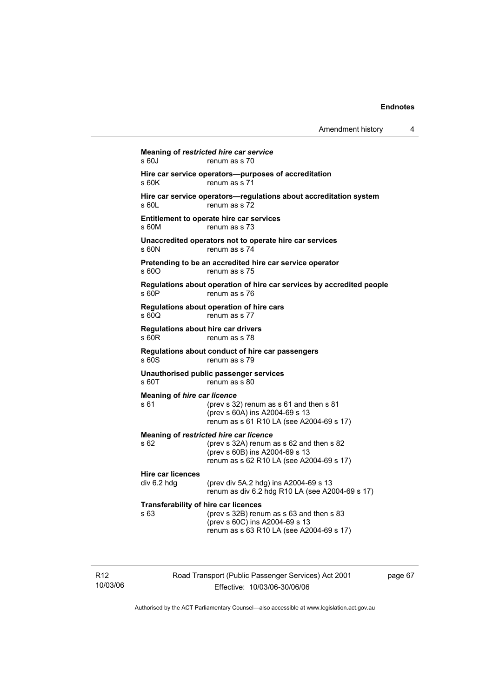| Amendment history |  |
|-------------------|--|
|-------------------|--|

**Meaning of** *restricted hire car service*  s 60J renum as s 70 **Hire car service operators—purposes of accreditation**  s 60K renum as s 71 **Hire car service operators—regulations about accreditation system**  s 60L renum as s 72 **Entitlement to operate hire car services**  s 60M renum as s 73 **Unaccredited operators not to operate hire car services**  s 60N renum as s 74 **Pretending to be an accredited hire car service operator**  s 600 renum as s 75 **Regulations about operation of hire car services by accredited people**  s 60P renum as s 76 **Regulations about operation of hire cars**  s 60Q renum as s 77 **Regulations about hire car drivers**  s 60R renum as s 78 **Regulations about conduct of hire car passengers**  s 60S renum as s 79 **Unauthorised public passenger services**  s 60T renum as s 80 **Meaning of** *hire car licence*  s 61 (prev s 32) renum as s 61 and then s 81 (prev s 60A) ins A2004-69 s 13 renum as s 61 R10 LA (see A2004-69 s 17) **Meaning of** *restricted hire car licence*  s 62 (prev s 32A) renum as s 62 and then s 82 (prev s 60B) ins A2004-69 s 13 renum as s 62 R10 LA (see A2004-69 s 17) **Hire car licences**  div 6.2 hdg (prev div 5A.2 hdg) ins A2004-69 s 13 renum as div 6.2 hdg R10 LA (see A2004-69 s 17) **Transferability of hire car licences**  s 63 (prev s 32B) renum as s 63 and then s 83 (prev s 60C) ins A2004-69 s 13 renum as s 63 R10 LA (see A2004-69 s 17)

R12 10/03/06 Road Transport (Public Passenger Services) Act 2001 Effective: 10/03/06-30/06/06

page 67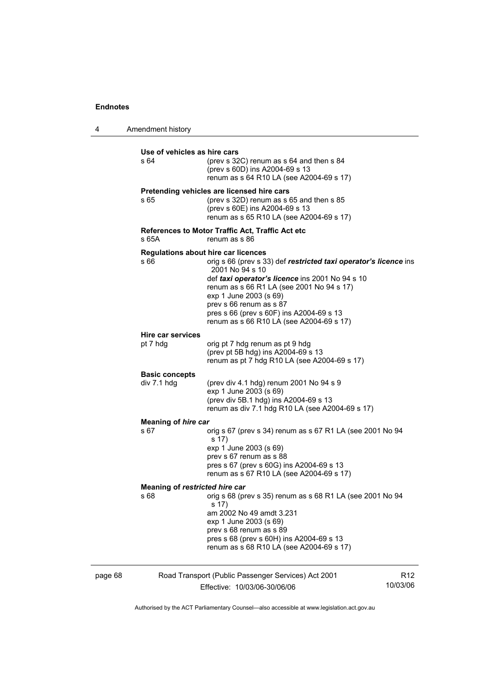4 Amendment history

| Use of vehicles as hire cars<br>s 64   | (prev s 32C) renum as s 64 and then s 84<br>(prev s 60D) ins A2004-69 s 13<br>renum as s 64 R10 LA (see A2004-69 s 17)                                                                                                                                                                                                                                                         |
|----------------------------------------|--------------------------------------------------------------------------------------------------------------------------------------------------------------------------------------------------------------------------------------------------------------------------------------------------------------------------------------------------------------------------------|
| s 65                                   | Pretending vehicles are licensed hire cars<br>(prev s 32D) renum as s 65 and then s 85<br>(prev s 60E) ins A2004-69 s 13<br>renum as s 65 R10 LA (see A2004-69 s 17)                                                                                                                                                                                                           |
| s 65A                                  | References to Motor Traffic Act, Traffic Act etc<br>renum as s 86                                                                                                                                                                                                                                                                                                              |
| s 66                                   | <b>Regulations about hire car licences</b><br>orig s 66 (prev s 33) def restricted taxi operator's licence ins<br>2001 No 94 s 10<br>def taxi operator's licence ins 2001 No 94 s 10<br>renum as s 66 R1 LA (see 2001 No 94 s 17)<br>exp 1 June 2003 (s 69)<br>prev s 66 renum as s 87<br>pres s 66 (prev s 60F) ins A2004-69 s 13<br>renum as s 66 R10 LA (see A2004-69 s 17) |
| Hire car services<br>pt 7 hdg          | orig pt 7 hdg renum as pt 9 hdg<br>(prev pt 5B hdg) ins A2004-69 s 13<br>renum as pt 7 hdg R10 LA (see A2004-69 s 17)                                                                                                                                                                                                                                                          |
| <b>Basic concepts</b><br>div 7.1 hdg   | (prev div 4.1 hdg) renum 2001 No 94 s 9<br>exp 1 June 2003 (s 69)<br>(prev div 5B.1 hdg) ins A2004-69 s 13<br>renum as div 7.1 hdg R10 LA (see A2004-69 s 17)                                                                                                                                                                                                                  |
| Meaning of hire car<br>s 67            | orig s 67 (prev s 34) renum as s 67 R1 LA (see 2001 No 94<br>s 17)<br>exp 1 June 2003 (s 69)<br>prev s 67 renum as s 88<br>pres s 67 (prev s 60G) ins A2004-69 s 13<br>renum as s 67 R10 LA (see A2004-69 s 17)                                                                                                                                                                |
| Meaning of restricted hire car<br>s 68 | orig s 68 (prev s 35) renum as s 68 R1 LA (see 2001 No 94<br>s 17)<br>am 2002 No 49 amdt 3.231<br>exp 1 June 2003 (s 69)<br>prev s 68 renum as s 89<br>pres s 68 (prev s 60H) ins A2004-69 s 13<br>renum as s 68 R10 LA (see A2004-69 s 17)                                                                                                                                    |

page 68 Road Transport (Public Passenger Services) Act 2001 Effective: 10/03/06-30/06/06

R12 10/03/06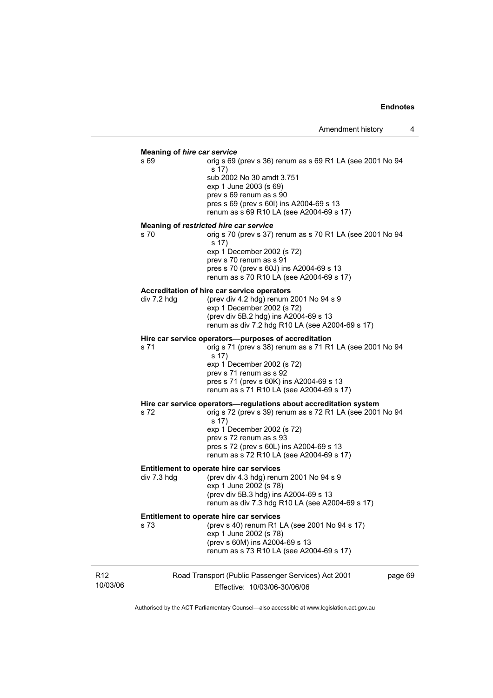#### **Meaning of** *hire car service*  s 69 orig s 69 (prev s 36) renum as s 69 R1 LA (see 2001 No 94

s 17) sub 2002 No 30 amdt 3.751 exp 1 June 2003 (s 69) prev s 69 renum as s 90 pres s 69 (prev s 60I) ins A2004-69 s 13 renum as s 69 R10 LA (see A2004-69 s 17)

#### **Meaning of** *restricted hire car service*

s 70 orig s 70 (prev s 37) renum as s 70 R1 LA (see 2001 No 94 s 17) exp 1 December 2002 (s 72) prev s 70 renum as s 91 pres s 70 (prev s 60J) ins A2004-69 s 13 renum as s 70 R10 LA (see A2004-69 s 17)

#### **Accreditation of hire car service operators**

div 7.2 hdg (prev div 4.2 hdg) renum 2001 No 94 s 9 exp 1 December 2002 (s 72) (prev div 5B.2 hdg) ins A2004-69 s 13 renum as div 7.2 hdg R10 LA (see A2004-69 s 17)

#### **Hire car service operators—purposes of accreditation**

s 71 orig s 71 (prev s 38) renum as s 71 R1 LA (see 2001 No 94 s 17) exp 1 December 2002 (s 72) prev s 71 renum as s 92 pres s 71 (prev s 60K) ins A2004-69 s 13 renum as s 71 R10 LA (see A2004-69 s 17) **Hire car service operators—regulations about accreditation system s 72**<br>s 72<br>correv s 39) renum as s 72 R1 LA (see 2001 s 72 orig s 72 (prev s 39) renum as s 72 R1 LA (see 2001 No 94

s 17) exp 1 December 2002 (s 72) prev s 72 renum as s 93 pres s 72 (prev s 60L) ins A2004-69 s 13 renum as s 72 R10 LA (see A2004-69 s 17)

# **Entitlement to operate hire car services**<br>div 7.3 hdg (prev div 4.3 hdg) renu

(prev div 4.3 hdg) renum 2001 No  $94 \text{ s } 9$  exp 1 June 2002 (s 78) (prev div 5B.3 hdg) ins A2004-69 s 13 renum as div 7.3 hdg R10 LA (see A2004-69 s 17)

#### **Entitlement to operate hire car services**

s 73 (prev s 40) renum R1 LA (see 2001 No 94 s 17) exp 1 June 2002 (s 78) (prev s 60M) ins A2004-69 s 13 renum as s 73 R10 LA (see A2004-69 s 17)

| R <sub>12</sub> | Road Transport (Public Passenger Services) Act 2001 | page 69 |
|-----------------|-----------------------------------------------------|---------|
| 10/03/06        | Effective: 10/03/06-30/06/06                        |         |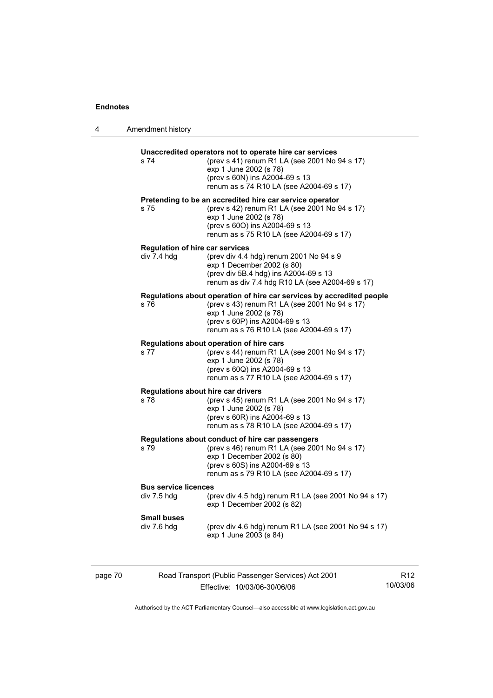| 4 | Amendment history                                     |                                                                                                                                                                                                                                |
|---|-------------------------------------------------------|--------------------------------------------------------------------------------------------------------------------------------------------------------------------------------------------------------------------------------|
|   | s 74                                                  | Unaccredited operators not to operate hire car services<br>(prev s 41) renum R1 LA (see 2001 No 94 s 17)<br>exp 1 June 2002 (s 78)<br>(prev s 60N) ins A2004-69 s 13<br>renum as s 74 R10 LA (see A2004-69 s 17)               |
|   | s 75                                                  | Pretending to be an accredited hire car service operator<br>(prev s 42) renum R1 LA (see 2001 No 94 s 17)<br>exp 1 June 2002 (s 78)<br>(prev s 600) ins A2004-69 s 13<br>renum as s 75 R10 LA (see A2004-69 s 17)              |
|   | <b>Regulation of hire car services</b><br>div 7.4 hdg | (prev div 4.4 hdg) renum 2001 No 94 s 9<br>exp 1 December 2002 (s 80)<br>(prev div 5B.4 hdg) ins A2004-69 s 13<br>renum as div 7.4 hdg R10 LA (see A2004-69 s 17)                                                              |
|   | s 76                                                  | Regulations about operation of hire car services by accredited people<br>(prev s 43) renum R1 LA (see 2001 No 94 s 17)<br>exp 1 June 2002 (s 78)<br>(prev s 60P) ins A2004-69 s 13<br>renum as s 76 R10 LA (see A2004-69 s 17) |
|   | s 77                                                  | Regulations about operation of hire cars<br>(prev s 44) renum R1 LA (see 2001 No 94 s 17)<br>exp 1 June 2002 (s 78)<br>(prev s 60Q) ins A2004-69 s 13<br>renum as s 77 R10 LA (see A2004-69 s 17)                              |
|   | Regulations about hire car drivers<br>s 78            | (prev s 45) renum R1 LA (see 2001 No 94 s 17)<br>exp 1 June 2002 (s 78)<br>(prev s 60R) ins A2004-69 s 13<br>renum as s 78 R10 LA (see A2004-69 s 17)                                                                          |
|   | s 79                                                  | Regulations about conduct of hire car passengers<br>(prev s 46) renum R1 LA (see 2001 No 94 s 17)<br>exp 1 December 2002 (s 80)<br>(prev s 60S) ins A2004-69 s 13<br>renum as s 79 R10 LA (see A2004-69 s 17)                  |
|   | <b>Bus service licences</b>                           | div 7.5 hdg (prev div 4.5 hdg) renum R1 LA (see 2001 No 94 s 17)<br>exp 1 December 2002 (s 82)                                                                                                                                 |
|   | <b>Small buses</b><br>div 7.6 hdg                     | (prev div 4.6 hdg) renum R1 LA (see 2001 No 94 s 17)<br>exp 1 June 2003 (s 84)                                                                                                                                                 |
|   |                                                       |                                                                                                                                                                                                                                |

Road Transport (Public Passenger Services) Act 2001 Effective: 10/03/06-30/06/06

R12 10/03/06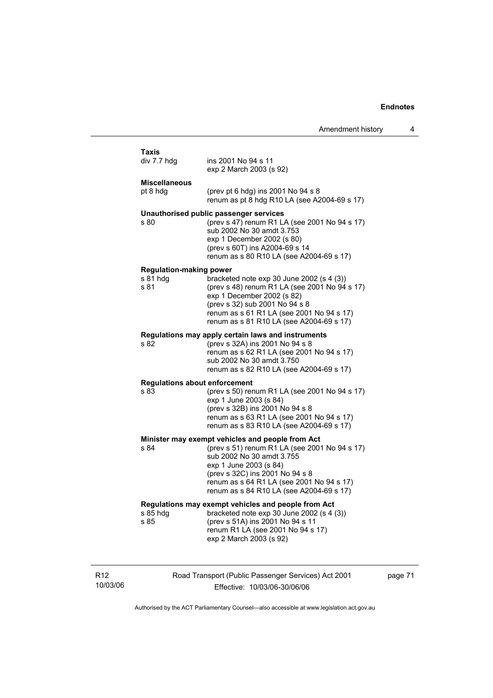| Amendment history |  |  |
|-------------------|--|--|
|-------------------|--|--|

| Taxis                                        |                                                                                                                                                                                                                                                     |  |  |
|----------------------------------------------|-----------------------------------------------------------------------------------------------------------------------------------------------------------------------------------------------------------------------------------------------------|--|--|
| div 7.7 hdg                                  | ins 2001 No 94 s 11<br>exp 2 March 2003 (s 92)                                                                                                                                                                                                      |  |  |
| <b>Miscellaneous</b>                         |                                                                                                                                                                                                                                                     |  |  |
| pt 8 hdg                                     | (prev pt 6 hdg) ins 2001 No 94 s 8<br>renum as pt 8 hdg R10 LA (see A2004-69 s 17)                                                                                                                                                                  |  |  |
| s 80                                         | Unauthorised public passenger services<br>(prev s 47) renum R1 LA (see 2001 No 94 s 17)<br>sub 2002 No 30 amdt 3.753<br>exp 1 December 2002 (s 80)<br>(prev s 60T) ins A2004-69 s 14<br>renum as s 80 R10 LA (see A2004-69 s 17)                    |  |  |
| <b>Regulation-making power</b>               |                                                                                                                                                                                                                                                     |  |  |
| s 81 hdg<br>s 81                             | bracketed note exp 30 June 2002 (s 4 (3))<br>(prev s 48) renum R1 LA (see 2001 No 94 s 17)<br>exp 1 December 2002 (s 82)<br>(prev s 32) sub 2001 No 94 s 8<br>renum as s 61 R1 LA (see 2001 No 94 s 17)<br>renum as s 81 R10 LA (see A2004-69 s 17) |  |  |
|                                              | Regulations may apply certain laws and instruments                                                                                                                                                                                                  |  |  |
| s 82                                         | (prev s 32A) ins 2001 No 94 s 8<br>renum as s 62 R1 LA (see 2001 No 94 s 17)<br>sub 2002 No 30 amdt 3.750<br>renum as s 82 R10 LA (see A2004-69 s 17)                                                                                               |  |  |
|                                              |                                                                                                                                                                                                                                                     |  |  |
| <b>Regulations about enforcement</b><br>s 83 | (prev s 50) renum R1 LA (see 2001 No 94 s 17)<br>exp 1 June 2003 (s 84)<br>(prev s 32B) ins 2001 No 94 s 8<br>renum as s 63 R1 LA (see 2001 No 94 s 17)<br>renum as s 83 R10 LA (see A2004-69 s 17)                                                 |  |  |
|                                              | Minister may exempt vehicles and people from Act                                                                                                                                                                                                    |  |  |
| s 84                                         | (prev s 51) renum R1 LA (see 2001 No 94 s 17)<br>sub 2002 No 30 amdt 3.755<br>exp 1 June 2003 (s 84)<br>(prev s 32C) ins 2001 No 94 s 8<br>renum as s 64 R1 LA (see 2001 No 94 s 17)<br>renum as s 84 R10 LA (see A2004-69 s 17)                    |  |  |
|                                              | Regulations may exempt vehicles and people from Act                                                                                                                                                                                                 |  |  |
| s 85 hdg<br>s 85                             | bracketed note exp 30 June 2002 (s 4 (3))<br>(prev s 51A) ins 2001 No 94 s 11<br>renum R1 LA (see 2001 No 94 s 17)<br>exp 2 March 2003 (s 92)                                                                                                       |  |  |

R12 10/03/06 Road Transport (Public Passenger Services) Act 2001 Effective: 10/03/06-30/06/06

page 71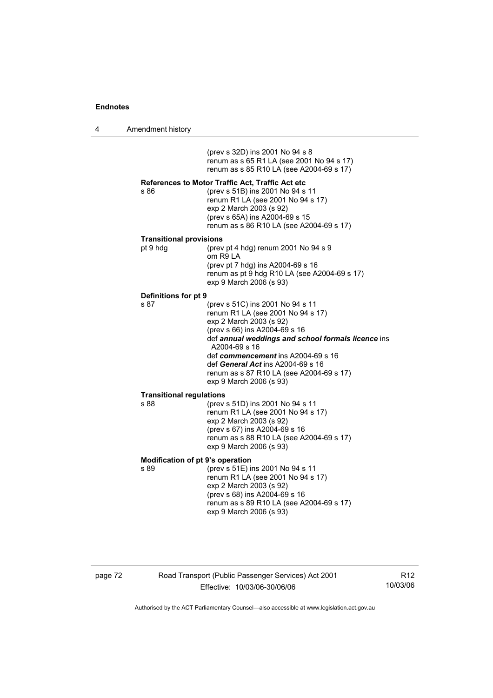| 4 | Amendment history |
|---|-------------------|
|---|-------------------|

 (prev s 32D) ins 2001 No 94 s 8 renum as s 65 R1 LA (see 2001 No 94 s 17) renum as s 85 R10 LA (see A2004-69 s 17)

# **References to Motor Traffic Act, Traffic Act etc**

(prev s 51B) ins 2001 No 94 s 11 renum R1 LA (see 2001 No 94 s 17) exp 2 March 2003 (s 92) (prev s 65A) ins A2004-69 s 15 renum as s 86 R10 LA (see A2004-69 s 17)

#### **Transitional provisions**

| pt 9 hda | (prev pt 4 hdg) renum $2001$ No $94$ s $9$   |
|----------|----------------------------------------------|
|          | om R9 LA                                     |
|          | (prev pt 7 hdg) ins A2004-69 s 16            |
|          | renum as pt 9 hdg R10 LA (see A2004-69 s 17) |
|          | exp 9 March 2006 (s 93)                      |
|          |                                              |

# **Definitions for pt 9**

| renum R1 LA (see 2001 No 94 s 17)<br>exp 2 March 2003 (s 92)<br>(prev s 66) ins A2004-69 s 16<br>A2004-69 s 16<br>def commencement ins A2004-69 s 16<br>def General Act ins A2004-69 s 16<br>renum as s 87 R10 LA (see A2004-69 s 17)<br>exp 9 March 2006 (s 93) | s 87 | (prev s 51C) ins 2001 No 94 s 11                   |
|------------------------------------------------------------------------------------------------------------------------------------------------------------------------------------------------------------------------------------------------------------------|------|----------------------------------------------------|
|                                                                                                                                                                                                                                                                  |      |                                                    |
|                                                                                                                                                                                                                                                                  |      |                                                    |
|                                                                                                                                                                                                                                                                  |      |                                                    |
|                                                                                                                                                                                                                                                                  |      | def annual weddings and school formals licence ins |
|                                                                                                                                                                                                                                                                  |      |                                                    |
|                                                                                                                                                                                                                                                                  |      |                                                    |
|                                                                                                                                                                                                                                                                  |      |                                                    |
|                                                                                                                                                                                                                                                                  |      |                                                    |

#### **Transitional regulations**

| s 88 | (prev s 51D) ins 2001 No 94 s 11                                    |
|------|---------------------------------------------------------------------|
|      | renum R1 LA (see 2001 No 94 s 17)                                   |
|      | exp 2 March 2003 (s 92)                                             |
|      | (prev s 67) ins A2004-69 s 16                                       |
|      | renum as s 88 R10 LA (see A2004-69 s 17)<br>exp 9 March 2006 (s 93) |
|      |                                                                     |

# **Modification of pt 9's operation**<br>**s** 89 (prev s 51F) in

s 89 (prev s 51E) ins 2001 No 94 s 11 renum R1 LA (see 2001 No 94 s 17) exp 2 March 2003 (s 92) (prev s 68) ins A2004-69 s 16 renum as s 89 R10 LA (see A2004-69 s 17) exp 9 March 2006 (s 93)

# page 72 Road Transport (Public Passenger Services) Act 2001 Effective: 10/03/06-30/06/06

R12 10/03/06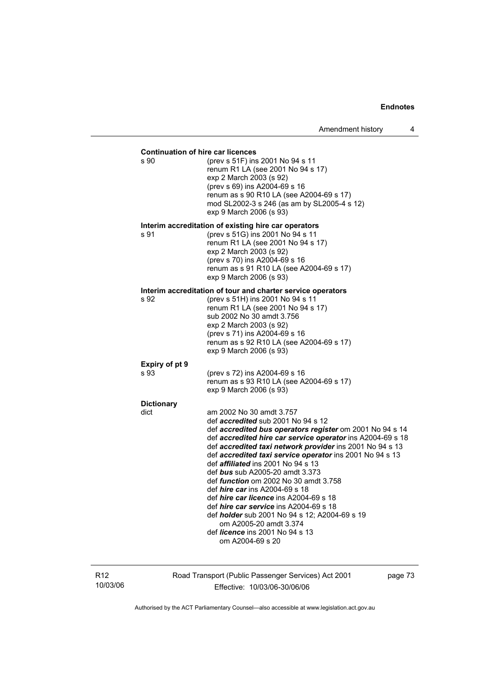| <b>Continuation of hire car licences</b><br>s 90 | (prev s 51F) ins 2001 No 94 s 11<br>renum R1 LA (see 2001 No 94 s 17)<br>exp 2 March 2003 (s 92)<br>(prev s 69) ins A2004-69 s 16<br>renum as s 90 R10 LA (see A2004-69 s 17)<br>mod SL2002-3 s 246 (as am by SL2005-4 s 12)<br>exp 9 March 2006 (s 93)                                                                                                                                                                                                                                                                                                                                                                                                                                                                                     |
|--------------------------------------------------|---------------------------------------------------------------------------------------------------------------------------------------------------------------------------------------------------------------------------------------------------------------------------------------------------------------------------------------------------------------------------------------------------------------------------------------------------------------------------------------------------------------------------------------------------------------------------------------------------------------------------------------------------------------------------------------------------------------------------------------------|
| s 91                                             | Interim accreditation of existing hire car operators<br>(prev s 51G) ins 2001 No 94 s 11<br>renum R1 LA (see 2001 No 94 s 17)<br>exp 2 March 2003 (s 92)<br>(prev s 70) ins A2004-69 s 16<br>renum as s 91 R10 LA (see A2004-69 s 17)<br>exp 9 March 2006 (s 93)                                                                                                                                                                                                                                                                                                                                                                                                                                                                            |
| s 92                                             | Interim accreditation of tour and charter service operators<br>(prev s 51H) ins 2001 No 94 s 11<br>renum R1 LA (see 2001 No 94 s 17)<br>sub 2002 No 30 amdt 3.756<br>exp 2 March 2003 (s 92)<br>(prev s 71) ins A2004-69 s 16<br>renum as s 92 R10 LA (see A2004-69 s 17)<br>exp 9 March 2006 (s 93)                                                                                                                                                                                                                                                                                                                                                                                                                                        |
| Expiry of pt 9<br>s 93                           | (prev s 72) ins A2004-69 s 16<br>renum as s 93 R10 LA (see A2004-69 s 17)<br>exp 9 March 2006 (s 93)                                                                                                                                                                                                                                                                                                                                                                                                                                                                                                                                                                                                                                        |
| <b>Dictionary</b><br>dict                        | am 2002 No 30 amdt 3.757<br>def accredited sub 2001 No 94 s 12<br>def accredited bus operators register om 2001 No 94 s 14<br>def accredited hire car service operator ins A2004-69 s 18<br>def accredited taxi network provider ins 2001 No 94 s 13<br>def accredited taxi service operator ins 2001 No 94 s 13<br>def <i>affiliated</i> ins 2001 No 94 s 13<br>def bus sub A2005-20 amdt 3.373<br>def <i>function</i> om 2002 No 30 amdt 3.758<br>def <i>hire car</i> ins A2004-69 s 18<br>def <i>hire car licence</i> ins A2004-69 s 18<br>def <i>hire car service</i> ins A2004-69 s 18<br>def <i>holder</i> sub 2001 No 94 s 12; A2004-69 s 19<br>om A2005-20 amdt 3.374<br>def <i>licence</i> ins 2001 No 94 s 13<br>om A2004-69 s 20 |

R12 10/03/06 Road Transport (Public Passenger Services) Act 2001 Effective: 10/03/06-30/06/06

page 73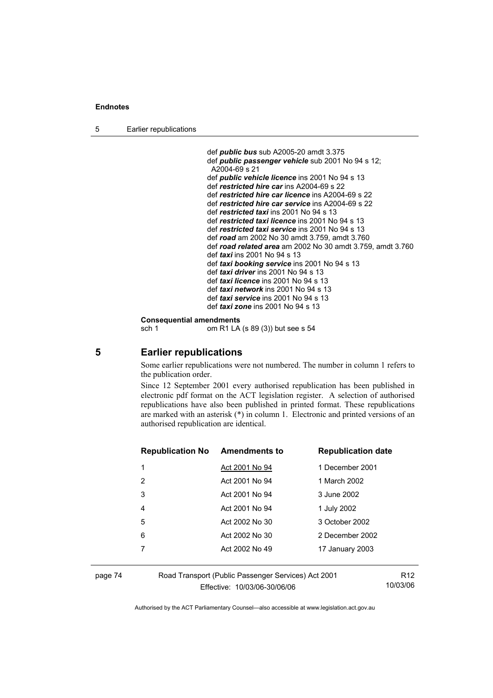5 Earlier republications

```
 def public bus sub A2005-20 amdt 3.375 
def public passenger vehicle sub 2001 No 94 s 12; 
 A2004-69 s 21
def public vehicle licence ins 2001 No 94 s 13 
def restricted hire car ins A2004-69 s 22 
def restricted hire car licence ins A2004-69 s 22 
def restricted hire car service ins A2004-69 s 22 
def restricted taxi ins 2001 No 94 s 13 
 def restricted taxi licence ins 2001 No 94 s 13 
def restricted taxi service ins 2001 No 94 s 13 
def road am 2002 No 30 amdt 3.759, amdt 3.760 
 def road related area am 2002 No 30 amdt 3.759, amdt 3.760 
 def taxi ins 2001 No 94 s 13 
def taxi booking service ins 2001 No 94 s 13 
def taxi driver ins 2001 No 94 s 13 
def taxi licence ins 2001 No 94 s 13
def taxi network ins 2001 No 94 s 13 
 def taxi service ins 2001 No 94 s 13 
def taxi zone ins 2001 No 94 s 13
```
**Consequential amendments** 

sch 1 om R1 LA (s 89 (3)) but see s 54

**5 Earlier republications** 

Some earlier republications were not numbered. The number in column 1 refers to the publication order.

Since 12 September 2001 every authorised republication has been published in electronic pdf format on the ACT legislation register. A selection of authorised republications have also been published in printed format. These republications are marked with an asterisk (\*) in column 1. Electronic and printed versions of an authorised republication are identical.

| <b>Republication No Amendments to</b> |                | <b>Republication date</b> |
|---------------------------------------|----------------|---------------------------|
| 1                                     | Act 2001 No 94 | 1 December 2001           |
| 2                                     | Act 2001 No 94 | 1 March 2002              |
| 3                                     | Act 2001 No 94 | 3 June 2002               |
| 4                                     | Act 2001 No 94 | 1 July 2002               |
| 5                                     | Act 2002 No 30 | 3 October 2002            |
| 6                                     | Act 2002 No 30 | 2 December 2002           |
|                                       | Act 2002 No 49 | 17 January 2003           |
|                                       |                |                           |

page 74 Road Transport (Public Passenger Services) Act 2001 Effective: 10/03/06-30/06/06

R12 10/03/06